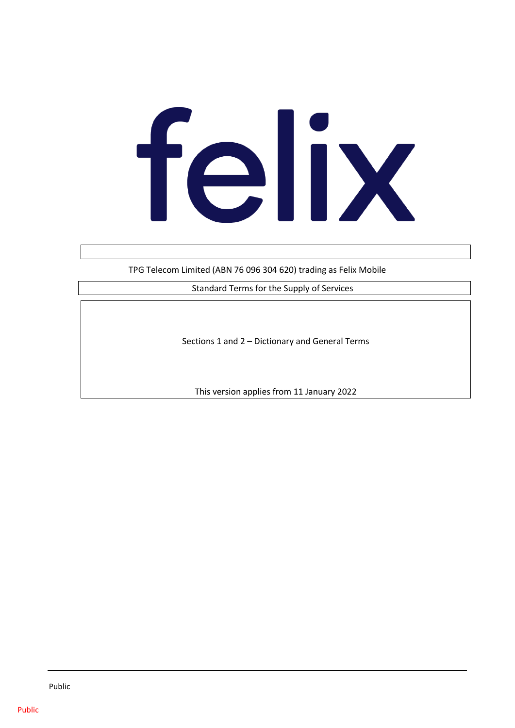# felix

TPG Telecom Limited (ABN 76 096 304 620) trading as Felix Mobile

Standard Terms for the Supply of Services

Sections 1 and 2 – Dictionary and General Terms

This version applies from 11 January 2022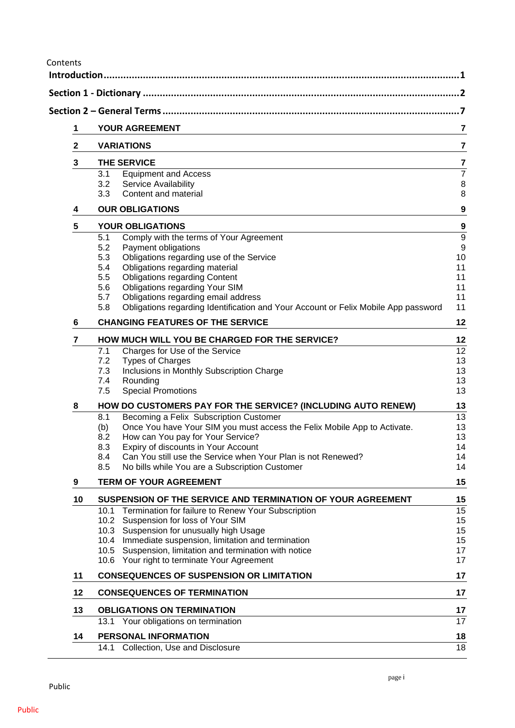Contents

|                | Section 2 – General Terms ………………………………………………………………………………………                                                       |
|----------------|-------------------------------------------------------------------------------------------------------------------|
| 1              | YOUR AGREEMENT                                                                                                    |
| $\mathbf{2}$   | <b>VARIATIONS</b>                                                                                                 |
| 3              | <b>THE SERVICE</b>                                                                                                |
|                | 3.1<br><b>Equipment and Access</b>                                                                                |
|                | 3.2<br>Service Availability                                                                                       |
|                | Content and material<br>3.3                                                                                       |
| 4              | <b>OUR OBLIGATIONS</b>                                                                                            |
| 5              | <b>YOUR OBLIGATIONS</b>                                                                                           |
|                | Comply with the terms of Your Agreement<br>5.1                                                                    |
|                | 5.2<br>Payment obligations<br>5.3<br>Obligations regarding use of the Service                                     |
|                | Obligations regarding material<br>5.4                                                                             |
|                | <b>Obligations regarding Content</b><br>5.5                                                                       |
|                | Obligations regarding Your SIM<br>5.6                                                                             |
|                | Obligations regarding email address<br>5.7                                                                        |
|                | 5.8<br>Obligations regarding Identification and Your Account or Felix Mobile App password                         |
| 6              | <b>CHANGING FEATURES OF THE SERVICE</b>                                                                           |
| $\overline{7}$ | HOW MUCH WILL YOU BE CHARGED FOR THE SERVICE?                                                                     |
|                | 7.1<br>Charges for Use of the Service                                                                             |
|                | <b>Types of Charges</b><br>7.2                                                                                    |
|                | 7.3<br>Inclusions in Monthly Subscription Charge                                                                  |
|                | 7.4<br>Rounding                                                                                                   |
|                | <b>Special Promotions</b><br>7.5                                                                                  |
| 8              | HOW DO CUSTOMERS PAY FOR THE SERVICE? (INCLUDING AUTO RENEW)                                                      |
|                | Becoming a Felix Subscription Customer<br>8.1                                                                     |
|                | Once You have Your SIM you must access the Felix Mobile App to Activate.<br>(b)                                   |
|                | How can You pay for Your Service?<br>8.2                                                                          |
|                | Expiry of discounts in Your Account<br>8.3<br>Can You still use the Service when Your Plan is not Renewed?<br>8.4 |
|                | No bills while You are a Subscription Customer<br>8.5                                                             |
| 9              | <b>TERM OF YOUR AGREEMENT</b>                                                                                     |
| 10             | SUSPENSION OF THE SERVICE AND TERMINATION OF YOUR AGREEMENT                                                       |
|                | Termination for failure to Renew Your Subscription<br>10.1                                                        |
|                | 10.2 Suspension for loss of Your SIM                                                                              |
|                | 10.3 Suspension for unusually high Usage                                                                          |
|                | 10.4 Immediate suspension, limitation and termination                                                             |
|                | 10.5 Suspension, limitation and termination with notice                                                           |
|                | 10.6 Your right to terminate Your Agreement                                                                       |
| 11             | <b>CONSEQUENCES OF SUSPENSION OR LIMITATION</b>                                                                   |
| 12             | <b>CONSEQUENCES OF TERMINATION</b>                                                                                |
| 13             | <b>OBLIGATIONS ON TERMINATION</b>                                                                                 |
|                | 13.1 Your obligations on termination                                                                              |
|                |                                                                                                                   |
| 14             | PERSONAL INFORMATION                                                                                              |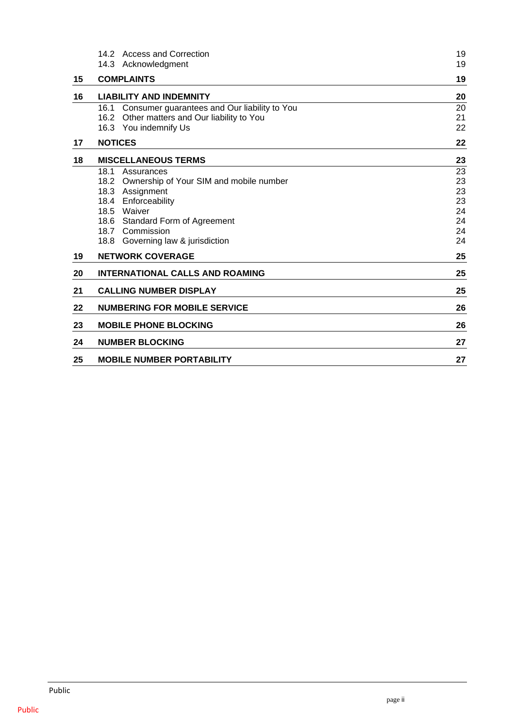|    | 14.2 Access and Correction<br>14.3 Acknowledgment                                                                            | 19<br>19             |
|----|------------------------------------------------------------------------------------------------------------------------------|----------------------|
| 15 | <b>COMPLAINTS</b>                                                                                                            | 19                   |
| 16 | <b>LIABILITY AND INDEMNITY</b>                                                                                               | 20                   |
|    | 16.1<br>Consumer guarantees and Our liability to You<br>16.2 Other matters and Our liability to You<br>16.3 You indemnify Us | 20<br>21<br>22       |
| 17 | <b>NOTICES</b>                                                                                                               | 22                   |
| 18 | <b>MISCELLANEOUS TERMS</b>                                                                                                   | 23                   |
|    | 18.1<br>Assurances<br>18.2<br>Ownership of Your SIM and mobile number<br>18.3 Assignment<br>Enforceability<br>18.4           | 23<br>23<br>23<br>23 |
|    | 18.5 Waiver<br>18.6 Standard Form of Agreement<br>18.7 Commission                                                            | 24<br>24<br>24       |
| 19 | 18.8 Governing law & jurisdiction<br><b>NETWORK COVERAGE</b>                                                                 | 24<br>25             |
| 20 | <b>INTERNATIONAL CALLS AND ROAMING</b>                                                                                       | 25                   |
| 21 | <b>CALLING NUMBER DISPLAY</b>                                                                                                | 25                   |
| 22 | <b>NUMBERING FOR MOBILE SERVICE</b>                                                                                          | 26                   |
| 23 | <b>MOBILE PHONE BLOCKING</b>                                                                                                 | 26                   |
| 24 | <b>NUMBER BLOCKING</b>                                                                                                       | 27                   |
| 25 | <b>MOBILE NUMBER PORTABILITY</b>                                                                                             | 27                   |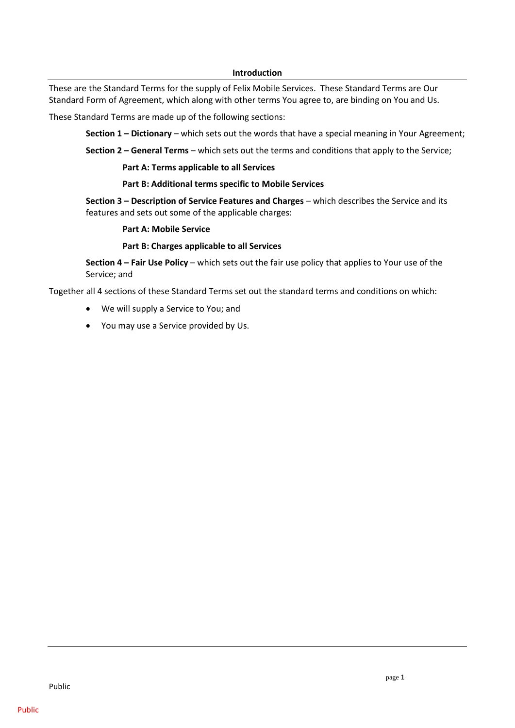#### **Introduction**

<span id="page-4-0"></span>These are the Standard Terms for the supply of Felix Mobile Services. These Standard Terms are Our Standard Form of Agreement, which along with other terms You agree to, are binding on You and Us.

These Standard Terms are made up of the following sections:

**Section 1 – Dictionary** – which sets out the words that have a special meaning in Your Agreement;

**Section 2 – General Terms** – which sets out the terms and conditions that apply to the Service;

**Part A: Terms applicable to all Services**

#### **Part B: Additional terms specific to Mobile Services**

**Section 3 – Description of Service Features and Charges** – which describes the Service and its features and sets out some of the applicable charges:

#### **Part A: Mobile Service**

#### **Part B: Charges applicable to all Services**

**Section 4 – Fair Use Policy** – which sets out the fair use policy that applies to Your use of the Service; and

Together all 4 sections of these Standard Terms set out the standard terms and conditions on which:

- We will supply a Service to You; and
- You may use a Service provided by Us.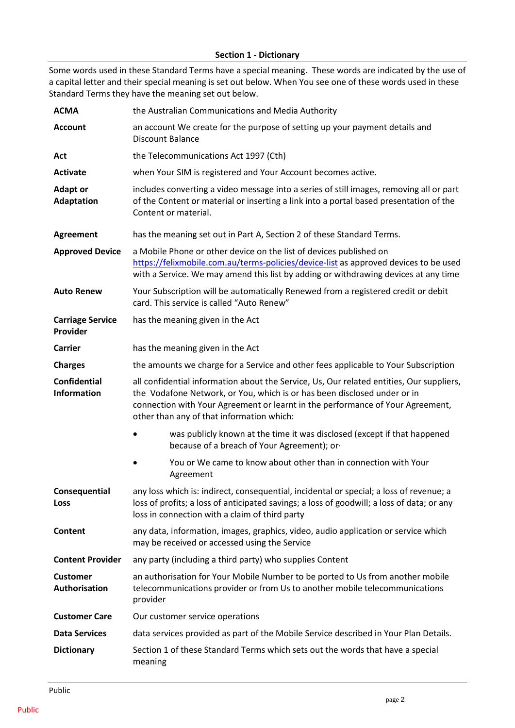## **Section 1 - Dictionary**

<span id="page-5-0"></span>Some words used in these Standard Terms have a special meaning. These words are indicated by the use of a capital letter and their special meaning is set out below. When You see one of these words used in these Standard Terms they have the meaning set out below.

| <b>ACMA</b>                               | the Australian Communications and Media Authority                                                                                                                                                                                                                                                   |  |
|-------------------------------------------|-----------------------------------------------------------------------------------------------------------------------------------------------------------------------------------------------------------------------------------------------------------------------------------------------------|--|
| <b>Account</b>                            | an account We create for the purpose of setting up your payment details and<br><b>Discount Balance</b>                                                                                                                                                                                              |  |
| Act                                       | the Telecommunications Act 1997 (Cth)                                                                                                                                                                                                                                                               |  |
| <b>Activate</b>                           | when Your SIM is registered and Your Account becomes active.                                                                                                                                                                                                                                        |  |
| <b>Adapt or</b><br><b>Adaptation</b>      | includes converting a video message into a series of still images, removing all or part<br>of the Content or material or inserting a link into a portal based presentation of the<br>Content or material.                                                                                           |  |
| <b>Agreement</b>                          | has the meaning set out in Part A, Section 2 of these Standard Terms.                                                                                                                                                                                                                               |  |
| <b>Approved Device</b>                    | a Mobile Phone or other device on the list of devices published on<br>https://felixmobile.com.au/terms-policies/device-list as approved devices to be used<br>with a Service. We may amend this list by adding or withdrawing devices at any time                                                   |  |
| <b>Auto Renew</b>                         | Your Subscription will be automatically Renewed from a registered credit or debit<br>card. This service is called "Auto Renew"                                                                                                                                                                      |  |
| <b>Carriage Service</b><br>Provider       | has the meaning given in the Act                                                                                                                                                                                                                                                                    |  |
| <b>Carrier</b>                            | has the meaning given in the Act                                                                                                                                                                                                                                                                    |  |
| <b>Charges</b>                            | the amounts we charge for a Service and other fees applicable to Your Subscription                                                                                                                                                                                                                  |  |
| <b>Confidential</b><br><b>Information</b> | all confidential information about the Service, Us, Our related entities, Our suppliers,<br>the Vodafone Network, or You, which is or has been disclosed under or in<br>connection with Your Agreement or learnt in the performance of Your Agreement,<br>other than any of that information which: |  |
|                                           | was publicly known at the time it was disclosed (except if that happened<br>because of a breach of Your Agreement); or-                                                                                                                                                                             |  |
|                                           | You or We came to know about other than in connection with Your<br>Agreement                                                                                                                                                                                                                        |  |
| Consequential<br><b>Loss</b>              | any loss which is: indirect, consequential, incidental or special; a loss of revenue; a<br>loss of profits; a loss of anticipated savings; a loss of goodwill; a loss of data; or any<br>loss in connection with a claim of third party                                                             |  |
| Content                                   | any data, information, images, graphics, video, audio application or service which<br>may be received or accessed using the Service                                                                                                                                                                 |  |
| <b>Content Provider</b>                   | any party (including a third party) who supplies Content                                                                                                                                                                                                                                            |  |
| <b>Customer</b><br>Authorisation          | an authorisation for Your Mobile Number to be ported to Us from another mobile<br>telecommunications provider or from Us to another mobile telecommunications<br>provider                                                                                                                           |  |
| <b>Customer Care</b>                      | Our customer service operations                                                                                                                                                                                                                                                                     |  |
| <b>Data Services</b>                      | data services provided as part of the Mobile Service described in Your Plan Details.                                                                                                                                                                                                                |  |
| <b>Dictionary</b>                         | Section 1 of these Standard Terms which sets out the words that have a special<br>meaning                                                                                                                                                                                                           |  |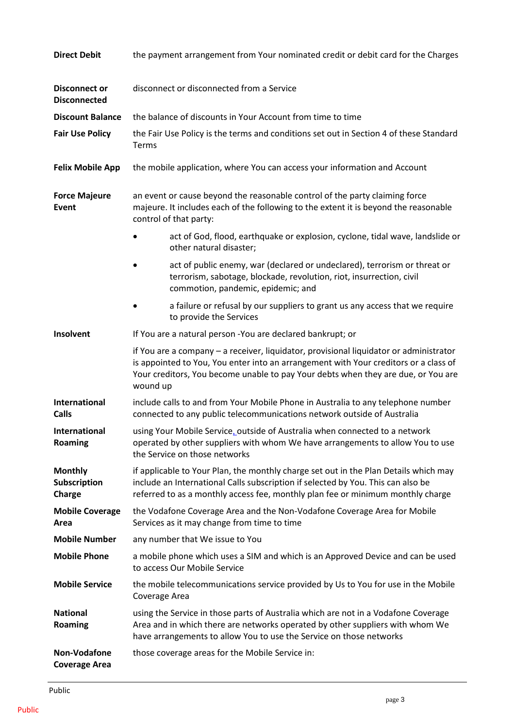| <b>Direct Debit</b>                         | the payment arrangement from Your nominated credit or debit card for the Charges                                                                                                                                                                                                |
|---------------------------------------------|---------------------------------------------------------------------------------------------------------------------------------------------------------------------------------------------------------------------------------------------------------------------------------|
| <b>Disconnect or</b><br><b>Disconnected</b> | disconnect or disconnected from a Service                                                                                                                                                                                                                                       |
| <b>Discount Balance</b>                     | the balance of discounts in Your Account from time to time                                                                                                                                                                                                                      |
| <b>Fair Use Policy</b>                      | the Fair Use Policy is the terms and conditions set out in Section 4 of these Standard<br>Terms                                                                                                                                                                                 |
| <b>Felix Mobile App</b>                     | the mobile application, where You can access your information and Account                                                                                                                                                                                                       |
| <b>Force Majeure</b><br>Event               | an event or cause beyond the reasonable control of the party claiming force<br>majeure. It includes each of the following to the extent it is beyond the reasonable<br>control of that party:                                                                                   |
|                                             | act of God, flood, earthquake or explosion, cyclone, tidal wave, landslide or<br>other natural disaster;                                                                                                                                                                        |
|                                             | act of public enemy, war (declared or undeclared), terrorism or threat or<br>terrorism, sabotage, blockade, revolution, riot, insurrection, civil<br>commotion, pandemic, epidemic; and                                                                                         |
|                                             | a failure or refusal by our suppliers to grant us any access that we require<br>to provide the Services                                                                                                                                                                         |
| Insolvent                                   | If You are a natural person - You are declared bankrupt; or                                                                                                                                                                                                                     |
|                                             | if You are a company - a receiver, liquidator, provisional liquidator or administrator<br>is appointed to You, You enter into an arrangement with Your creditors or a class of<br>Your creditors, You become unable to pay Your debts when they are due, or You are<br>wound up |
| International<br><b>Calls</b>               | include calls to and from Your Mobile Phone in Australia to any telephone number<br>connected to any public telecommunications network outside of Australia                                                                                                                     |
| <b>International</b><br>Roaming             | using Your Mobile Service, outside of Australia when connected to a network<br>operated by other suppliers with whom We have arrangements to allow You to use<br>the Service on those networks                                                                                  |
| <b>Monthly</b><br>Subscription<br>Charge    | if applicable to Your Plan, the monthly charge set out in the Plan Details which may<br>include an International Calls subscription if selected by You. This can also be<br>referred to as a monthly access fee, monthly plan fee or minimum monthly charge                     |
| <b>Mobile Coverage</b><br>Area              | the Vodafone Coverage Area and the Non-Vodafone Coverage Area for Mobile<br>Services as it may change from time to time                                                                                                                                                         |
| <b>Mobile Number</b>                        | any number that We issue to You                                                                                                                                                                                                                                                 |
| <b>Mobile Phone</b>                         | a mobile phone which uses a SIM and which is an Approved Device and can be used<br>to access Our Mobile Service                                                                                                                                                                 |
| <b>Mobile Service</b>                       | the mobile telecommunications service provided by Us to You for use in the Mobile<br>Coverage Area                                                                                                                                                                              |
| <b>National</b><br>Roaming                  | using the Service in those parts of Australia which are not in a Vodafone Coverage<br>Area and in which there are networks operated by other suppliers with whom We<br>have arrangements to allow You to use the Service on those networks                                      |
| Non-Vodafone<br><b>Coverage Area</b>        | those coverage areas for the Mobile Service in:                                                                                                                                                                                                                                 |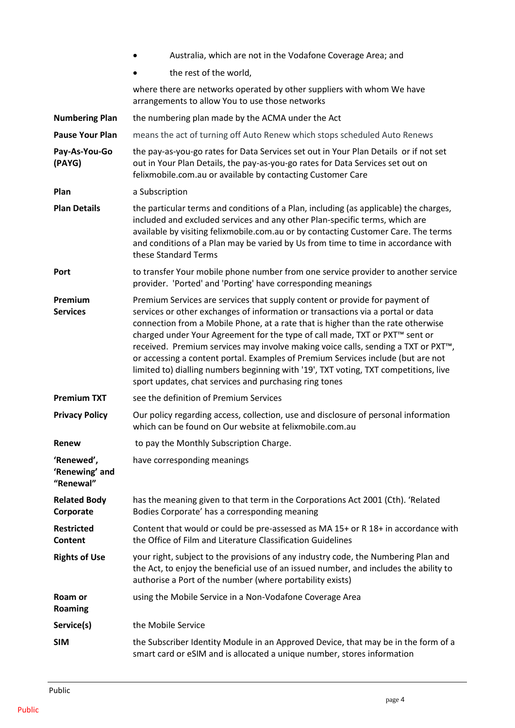|                                           | Australia, which are not in the Vodafone Coverage Area; and                                                                                                                                                                                                                                                                                                                                                                                                                                                                                                                                                                                                                           |
|-------------------------------------------|---------------------------------------------------------------------------------------------------------------------------------------------------------------------------------------------------------------------------------------------------------------------------------------------------------------------------------------------------------------------------------------------------------------------------------------------------------------------------------------------------------------------------------------------------------------------------------------------------------------------------------------------------------------------------------------|
|                                           | the rest of the world,                                                                                                                                                                                                                                                                                                                                                                                                                                                                                                                                                                                                                                                                |
|                                           | where there are networks operated by other suppliers with whom We have<br>arrangements to allow You to use those networks                                                                                                                                                                                                                                                                                                                                                                                                                                                                                                                                                             |
| <b>Numbering Plan</b>                     | the numbering plan made by the ACMA under the Act                                                                                                                                                                                                                                                                                                                                                                                                                                                                                                                                                                                                                                     |
| <b>Pause Your Plan</b>                    | means the act of turning off Auto Renew which stops scheduled Auto Renews                                                                                                                                                                                                                                                                                                                                                                                                                                                                                                                                                                                                             |
| Pay-As-You-Go<br>(PAYG)                   | the pay-as-you-go rates for Data Services set out in Your Plan Details or if not set<br>out in Your Plan Details, the pay-as-you-go rates for Data Services set out on<br>felixmobile.com.au or available by contacting Customer Care                                                                                                                                                                                                                                                                                                                                                                                                                                                 |
| Plan                                      | a Subscription                                                                                                                                                                                                                                                                                                                                                                                                                                                                                                                                                                                                                                                                        |
| <b>Plan Details</b>                       | the particular terms and conditions of a Plan, including (as applicable) the charges,<br>included and excluded services and any other Plan-specific terms, which are<br>available by visiting felixmobile.com.au or by contacting Customer Care. The terms<br>and conditions of a Plan may be varied by Us from time to time in accordance with<br>these Standard Terms                                                                                                                                                                                                                                                                                                               |
| Port                                      | to transfer Your mobile phone number from one service provider to another service<br>provider. 'Ported' and 'Porting' have corresponding meanings                                                                                                                                                                                                                                                                                                                                                                                                                                                                                                                                     |
| Premium<br><b>Services</b>                | Premium Services are services that supply content or provide for payment of<br>services or other exchanges of information or transactions via a portal or data<br>connection from a Mobile Phone, at a rate that is higher than the rate otherwise<br>charged under Your Agreement for the type of call made, TXT or PXT <sup>™</sup> sent or<br>received. Premium services may involve making voice calls, sending a TXT or PXT <sup>™</sup> ,<br>or accessing a content portal. Examples of Premium Services include (but are not<br>limited to) dialling numbers beginning with '19', TXT voting, TXT competitions, live<br>sport updates, chat services and purchasing ring tones |
| <b>Premium TXT</b>                        | see the definition of Premium Services                                                                                                                                                                                                                                                                                                                                                                                                                                                                                                                                                                                                                                                |
| <b>Privacy Policy</b>                     | Our policy regarding access, collection, use and disclosure of personal information<br>which can be found on Our website at felixmobile.com.au                                                                                                                                                                                                                                                                                                                                                                                                                                                                                                                                        |
| Renew                                     | to pay the Monthly Subscription Charge.                                                                                                                                                                                                                                                                                                                                                                                                                                                                                                                                                                                                                                               |
| 'Renewed',<br>'Renewing' and<br>"Renewal" | have corresponding meanings                                                                                                                                                                                                                                                                                                                                                                                                                                                                                                                                                                                                                                                           |
| <b>Related Body</b><br>Corporate          | has the meaning given to that term in the Corporations Act 2001 (Cth). 'Related<br>Bodies Corporate' has a corresponding meaning                                                                                                                                                                                                                                                                                                                                                                                                                                                                                                                                                      |
| <b>Restricted</b><br>Content              | Content that would or could be pre-assessed as MA 15+ or R 18+ in accordance with<br>the Office of Film and Literature Classification Guidelines                                                                                                                                                                                                                                                                                                                                                                                                                                                                                                                                      |
| <b>Rights of Use</b>                      | your right, subject to the provisions of any industry code, the Numbering Plan and<br>the Act, to enjoy the beneficial use of an issued number, and includes the ability to<br>authorise a Port of the number (where portability exists)                                                                                                                                                                                                                                                                                                                                                                                                                                              |
| Roam or<br>Roaming                        | using the Mobile Service in a Non-Vodafone Coverage Area                                                                                                                                                                                                                                                                                                                                                                                                                                                                                                                                                                                                                              |
| Service(s)                                | the Mobile Service                                                                                                                                                                                                                                                                                                                                                                                                                                                                                                                                                                                                                                                                    |
| <b>SIM</b>                                | the Subscriber Identity Module in an Approved Device, that may be in the form of a<br>smart card or eSIM and is allocated a unique number, stores information                                                                                                                                                                                                                                                                                                                                                                                                                                                                                                                         |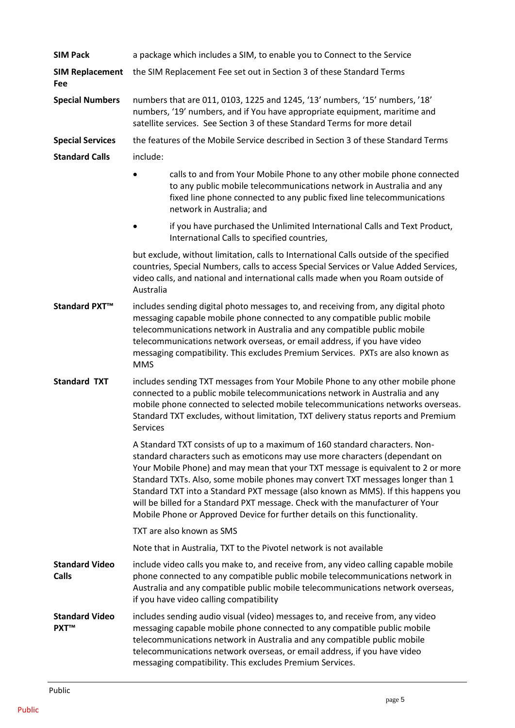| <b>SIM Pack</b>                       | a package which includes a SIM, to enable you to Connect to the Service                                                                                                                                                                                                                                                                                                                                                                                                                                                                                                               |
|---------------------------------------|---------------------------------------------------------------------------------------------------------------------------------------------------------------------------------------------------------------------------------------------------------------------------------------------------------------------------------------------------------------------------------------------------------------------------------------------------------------------------------------------------------------------------------------------------------------------------------------|
| <b>SIM Replacement</b><br>Fee         | the SIM Replacement Fee set out in Section 3 of these Standard Terms                                                                                                                                                                                                                                                                                                                                                                                                                                                                                                                  |
| <b>Special Numbers</b>                | numbers that are 011, 0103, 1225 and 1245, '13' numbers, '15' numbers, '18'<br>numbers, '19' numbers, and if You have appropriate equipment, maritime and<br>satellite services. See Section 3 of these Standard Terms for more detail                                                                                                                                                                                                                                                                                                                                                |
| <b>Special Services</b>               | the features of the Mobile Service described in Section 3 of these Standard Terms                                                                                                                                                                                                                                                                                                                                                                                                                                                                                                     |
| <b>Standard Calls</b>                 | include:                                                                                                                                                                                                                                                                                                                                                                                                                                                                                                                                                                              |
|                                       | calls to and from Your Mobile Phone to any other mobile phone connected<br>to any public mobile telecommunications network in Australia and any<br>fixed line phone connected to any public fixed line telecommunications<br>network in Australia; and                                                                                                                                                                                                                                                                                                                                |
|                                       | if you have purchased the Unlimited International Calls and Text Product,<br>International Calls to specified countries,                                                                                                                                                                                                                                                                                                                                                                                                                                                              |
|                                       | but exclude, without limitation, calls to International Calls outside of the specified<br>countries, Special Numbers, calls to access Special Services or Value Added Services,<br>video calls, and national and international calls made when you Roam outside of<br>Australia                                                                                                                                                                                                                                                                                                       |
| Standard PXT <sup>™</sup>             | includes sending digital photo messages to, and receiving from, any digital photo<br>messaging capable mobile phone connected to any compatible public mobile<br>telecommunications network in Australia and any compatible public mobile<br>telecommunications network overseas, or email address, if you have video<br>messaging compatibility. This excludes Premium Services. PXTs are also known as<br><b>MMS</b>                                                                                                                                                                |
| <b>Standard TXT</b>                   | includes sending TXT messages from Your Mobile Phone to any other mobile phone<br>connected to a public mobile telecommunications network in Australia and any<br>mobile phone connected to selected mobile telecommunications networks overseas.<br>Standard TXT excludes, without limitation, TXT delivery status reports and Premium<br><b>Services</b>                                                                                                                                                                                                                            |
|                                       | A Standard TXT consists of up to a maximum of 160 standard characters. Non-<br>standard characters such as emoticons may use more characters (dependant on<br>Your Mobile Phone) and may mean that your TXT message is equivalent to 2 or more<br>Standard TXTs. Also, some mobile phones may convert TXT messages longer than 1<br>Standard TXT into a Standard PXT message (also known as MMS). If this happens you<br>will be billed for a Standard PXT message. Check with the manufacturer of Your<br>Mobile Phone or Approved Device for further details on this functionality. |
|                                       | TXT are also known as SMS                                                                                                                                                                                                                                                                                                                                                                                                                                                                                                                                                             |
|                                       | Note that in Australia, TXT to the Pivotel network is not available                                                                                                                                                                                                                                                                                                                                                                                                                                                                                                                   |
| <b>Standard Video</b><br><b>Calls</b> | include video calls you make to, and receive from, any video calling capable mobile<br>phone connected to any compatible public mobile telecommunications network in<br>Australia and any compatible public mobile telecommunications network overseas,<br>if you have video calling compatibility                                                                                                                                                                                                                                                                                    |
| <b>Standard Video</b><br><b>PXT™</b>  | includes sending audio visual (video) messages to, and receive from, any video<br>messaging capable mobile phone connected to any compatible public mobile<br>telecommunications network in Australia and any compatible public mobile<br>telecommunications network overseas, or email address, if you have video<br>messaging compatibility. This excludes Premium Services.                                                                                                                                                                                                        |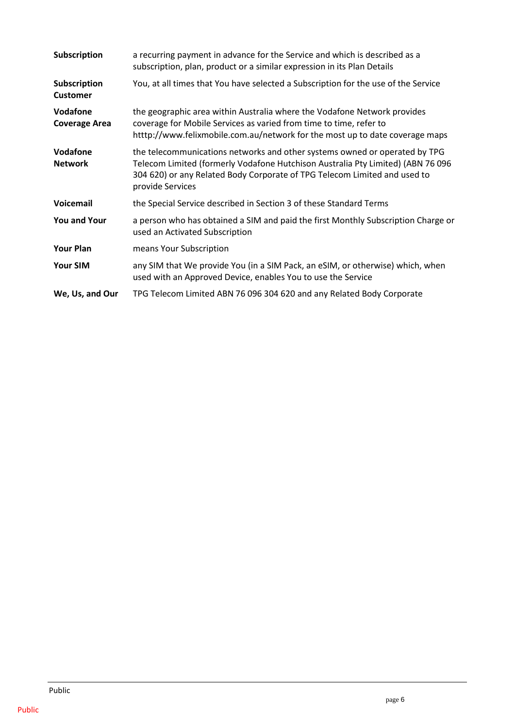| <b>Subscription</b>              | a recurring payment in advance for the Service and which is described as a<br>subscription, plan, product or a similar expression in its Plan Details                                                                                                          |
|----------------------------------|----------------------------------------------------------------------------------------------------------------------------------------------------------------------------------------------------------------------------------------------------------------|
| Subscription<br><b>Customer</b>  | You, at all times that You have selected a Subscription for the use of the Service                                                                                                                                                                             |
| Vodafone<br><b>Coverage Area</b> | the geographic area within Australia where the Vodafone Network provides<br>coverage for Mobile Services as varied from time to time, refer to<br>htttp://www.felixmobile.com.au/network for the most up to date coverage maps                                 |
| Vodafone<br><b>Network</b>       | the telecommunications networks and other systems owned or operated by TPG<br>Telecom Limited (formerly Vodafone Hutchison Australia Pty Limited) (ABN 76 096<br>304 620) or any Related Body Corporate of TPG Telecom Limited and used to<br>provide Services |
| <b>Voicemail</b>                 | the Special Service described in Section 3 of these Standard Terms                                                                                                                                                                                             |
| <b>You and Your</b>              | a person who has obtained a SIM and paid the first Monthly Subscription Charge or<br>used an Activated Subscription                                                                                                                                            |
| <b>Your Plan</b>                 | means Your Subscription                                                                                                                                                                                                                                        |
| <b>Your SIM</b>                  | any SIM that We provide You (in a SIM Pack, an eSIM, or otherwise) which, when<br>used with an Approved Device, enables You to use the Service                                                                                                                 |
| We, Us, and Our                  | TPG Telecom Limited ABN 76 096 304 620 and any Related Body Corporate                                                                                                                                                                                          |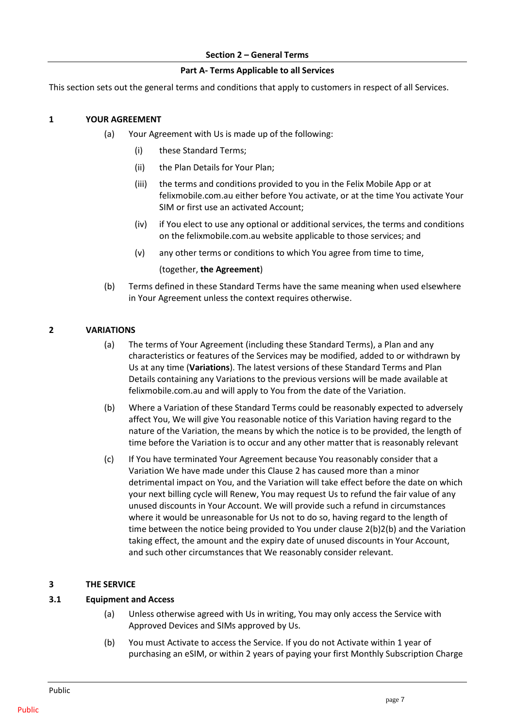#### **Section 2 – General Terms**

#### **Part A- Terms Applicable to all Services**

<span id="page-10-0"></span>This section sets out the general terms and conditions that apply to customers in respect of all Services.

#### <span id="page-10-1"></span>**1 YOUR AGREEMENT**

- (a) Your Agreement with Us is made up of the following:
	- (i) these Standard Terms;
	- (ii) the Plan Details for Your Plan;
	- (iii) the terms and conditions provided to you in the Felix Mobile App or at felixmobile.com.au either before You activate, or at the time You activate Your SIM or first use an activated Account;
	- (iv) if You elect to use any optional or additional services, the terms and conditions on the felixmobile.com.au website applicable to those services; and
	- (v) any other terms or conditions to which You agree from time to time,

#### (together, **the Agreement**)

(b) Terms defined in these Standard Terms have the same meaning when used elsewhere in Your Agreement unless the context requires otherwise.

#### <span id="page-10-2"></span>**2 VARIATIONS**

- (a) The terms of Your Agreement (including these Standard Terms), a Plan and any characteristics or features of the Services may be modified, added to or withdrawn by Us at any time (**Variations**). The latest versions of these Standard Terms and Plan Details containing any Variations to the previous versions will be made available at felixmobile.com.au and will apply to You from the date of the Variation.
- <span id="page-10-5"></span>(b) Where a Variation of these Standard Terms could be reasonably expected to adversely affect You, We will give You reasonable notice of this Variation having regard to the nature of the Variation, the means by which the notice is to be provided, the length of time before the Variation is to occur and any other matter that is reasonably relevant
- (c) If You have terminated Your Agreement because You reasonably consider that a Variation We have made under this Clause [2](#page-10-2) has caused more than a minor detrimental impact on You, and the Variation will take effect before the date on which your next billing cycle will Renew, You may request Us to refund the fair value of any unused discounts in Your Account. We will provide such a refund in circumstances where it would be unreasonable for Us not to do so, having regard to the length of time between the notice being provided to You under clause 2(b[\)2\(b\)](#page-10-5) and the Variation taking effect, the amount and the expiry date of unused discounts in Your Account, and such other circumstances that We reasonably consider relevant.

#### <span id="page-10-3"></span>**3 THE SERVICE**

#### <span id="page-10-4"></span>**3.1 Equipment and Access**

- (a) Unless otherwise agreed with Us in writing, You may only access the Service with Approved Devices and SIMs approved by Us.
- (b) You must Activate to access the Service. If you do not Activate within 1 year of purchasing an eSIM, or within 2 years of paying your first Monthly Subscription Charge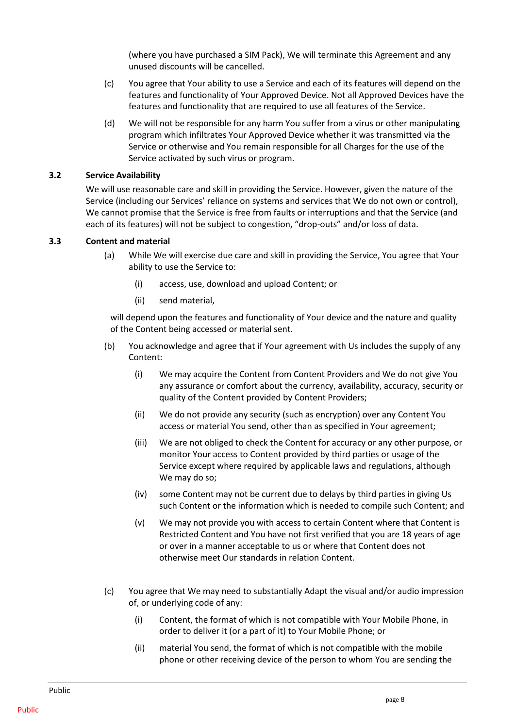(where you have purchased a SIM Pack), We will terminate this Agreement and any unused discounts will be cancelled.

- (c) You agree that Your ability to use a Service and each of its features will depend on the features and functionality of Your Approved Device. Not all Approved Devices have the features and functionality that are required to use all features of the Service.
- (d) We will not be responsible for any harm You suffer from a virus or other manipulating program which infiltrates Your Approved Device whether it was transmitted via the Service or otherwise and You remain responsible for all Charges for the use of the Service activated by such virus or program.

#### <span id="page-11-0"></span>**3.2 Service Availability**

We will use reasonable care and skill in providing the Service. However, given the nature of the Service (including our Services' reliance on systems and services that We do not own or control), We cannot promise that the Service is free from faults or interruptions and that the Service (and each of its features) will not be subject to congestion, "drop-outs" and/or loss of data.

## <span id="page-11-1"></span>**3.3 Content and material**

- (a) While We will exercise due care and skill in providing the Service, You agree that Your ability to use the Service to:
	- (i) access, use, download and upload Content; or
	- (ii) send material,

will depend upon the features and functionality of Your device and the nature and quality of the Content being accessed or material sent.

- (b) You acknowledge and agree that if Your agreement with Us includes the supply of any Content:
	- (i) We may acquire the Content from Content Providers and We do not give You any assurance or comfort about the currency, availability, accuracy, security or quality of the Content provided by Content Providers;
	- (ii) We do not provide any security (such as encryption) over any Content You access or material You send, other than as specified in Your agreement;
	- (iii) We are not obliged to check the Content for accuracy or any other purpose, or monitor Your access to Content provided by third parties or usage of the Service except where required by applicable laws and regulations, although We may do so;
	- (iv) some Content may not be current due to delays by third parties in giving Us such Content or the information which is needed to compile such Content; and
	- (v) We may not provide you with access to certain Content where that Content is Restricted Content and You have not first verified that you are 18 years of age or over in a manner acceptable to us or where that Content does not otherwise meet Our standards in relation Content.
- (c) You agree that We may need to substantially Adapt the visual and/or audio impression of, or underlying code of any:
	- (i) Content, the format of which is not compatible with Your Mobile Phone, in order to deliver it (or a part of it) to Your Mobile Phone; or
	- (ii) material You send, the format of which is not compatible with the mobile phone or other receiving device of the person to whom You are sending the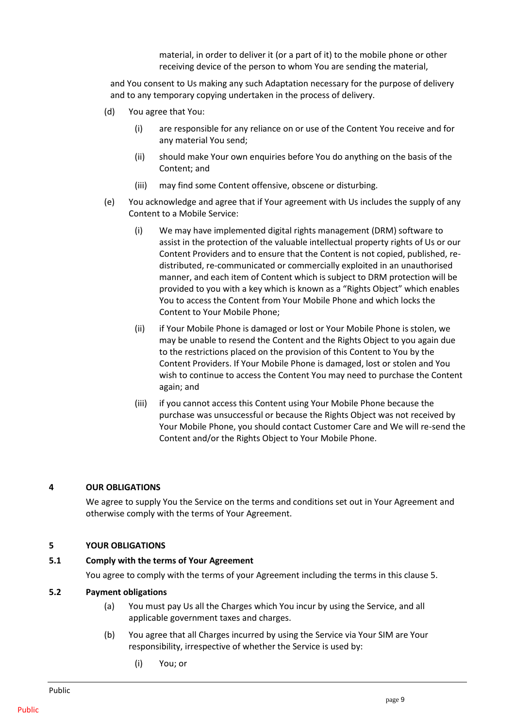material, in order to deliver it (or a part of it) to the mobile phone or other receiving device of the person to whom You are sending the material,

and You consent to Us making any such Adaptation necessary for the purpose of delivery and to any temporary copying undertaken in the process of delivery.

- (d) You agree that You:
	- (i) are responsible for any reliance on or use of the Content You receive and for any material You send;
	- (ii) should make Your own enquiries before You do anything on the basis of the Content; and
	- (iii) may find some Content offensive, obscene or disturbing.
- (e) You acknowledge and agree that if Your agreement with Us includes the supply of any Content to a Mobile Service:
	- (i) We may have implemented digital rights management (DRM) software to assist in the protection of the valuable intellectual property rights of Us or our Content Providers and to ensure that the Content is not copied, published, redistributed, re-communicated or commercially exploited in an unauthorised manner, and each item of Content which is subject to DRM protection will be provided to you with a key which is known as a "Rights Object" which enables You to access the Content from Your Mobile Phone and which locks the Content to Your Mobile Phone;
	- (ii) if Your Mobile Phone is damaged or lost or Your Mobile Phone is stolen, we may be unable to resend the Content and the Rights Object to you again due to the restrictions placed on the provision of this Content to You by the Content Providers. If Your Mobile Phone is damaged, lost or stolen and You wish to continue to access the Content You may need to purchase the Content again; and
	- (iii) if you cannot access this Content using Your Mobile Phone because the purchase was unsuccessful or because the Rights Object was not received by Your Mobile Phone, you should contact Customer Care and We will re-send the Content and/or the Rights Object to Your Mobile Phone.

#### <span id="page-12-0"></span>**4 OUR OBLIGATIONS**

We agree to supply You the Service on the terms and conditions set out in Your Agreement and otherwise comply with the terms of Your Agreement.

#### <span id="page-12-1"></span>**5 YOUR OBLIGATIONS**

#### <span id="page-12-2"></span>**5.1 Comply with the terms of Your Agreement**

You agree to comply with the terms of your Agreement including the terms in this clause 5.

#### <span id="page-12-3"></span>**5.2 Payment obligations**

- (a) You must pay Us all the Charges which You incur by using the Service, and all applicable government taxes and charges.
- (b) You agree that all Charges incurred by using the Service via Your SIM are Your responsibility, irrespective of whether the Service is used by:
	- (i) You; or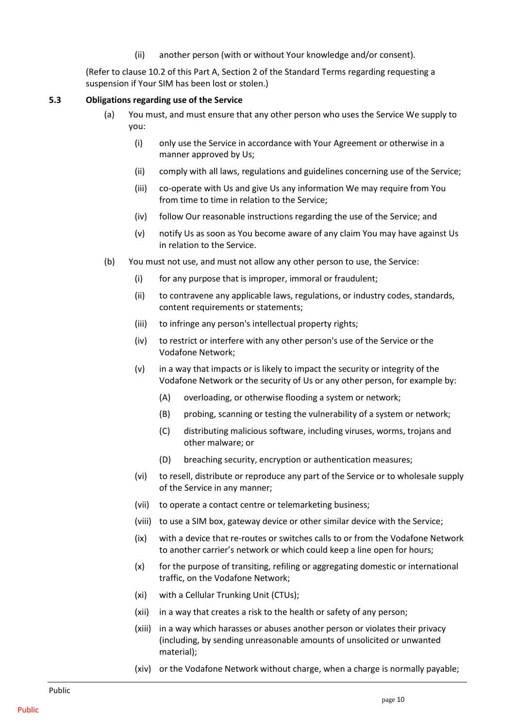(ii) another person (with or without Your knowledge and/or consent).

(Refer to clause 10.2 of this Part A, Section [2](#page-10-2) of the Standard Terms regarding requesting a suspension if Your SIM has been lost or stolen.)

## <span id="page-13-0"></span>**5.3 Obligations regarding use of the Service**

- (a) You must, and must ensure that any other person who uses the Service We supply to you:
	- (i) only use the Service in accordance with Your Agreement or otherwise in a manner approved by Us;
	- (ii) comply with all laws, regulations and guidelines concerning use of the Service;
	- (iii) co-operate with Us and give Us any information We may require from You from time to time in relation to the Service;
	- (iv) follow Our reasonable instructions regarding the use of the Service; and
	- (v) notify Us as soon as You become aware of any claim You may have against Us in relation to the Service.
- <span id="page-13-1"></span>(b) You must not use, and must not allow any other person to use, the Service:
	- (i) for any purpose that is improper, immoral or fraudulent;
	- (ii) to contravene any applicable laws, regulations, or industry codes, standards, content requirements or statements;
	- (iii) to infringe any person's intellectual property rights;
	- (iv) to restrict or interfere with any other person's use of the Service or the Vodafone Network;
	- (v) in a way that impacts or is likely to impact the security or integrity of the Vodafone Network or the security of Us or any other person, for example by:
		- (A) overloading, or otherwise flooding a system or network;
		- (B) probing, scanning or testing the vulnerability of a system or network;
		- (C) distributing malicious software, including viruses, worms, trojans and other malware; or
		- (D) breaching security, encryption or authentication measures;
	- (vi) to resell, distribute or reproduce any part of the Service or to wholesale supply of the Service in any manner;
	- (vii) to operate a contact centre or telemarketing business;
	- (viii) to use a SIM box, gateway device or other similar device with the Service;
	- (ix) with a device that re-routes or switches calls to or from the Vodafone Network to another carrier's network or which could keep a line open for hours;
	- (x) for the purpose of transiting, refiling or aggregating domestic or international traffic, on the Vodafone Network;
	- (xi) with a Cellular Trunking Unit (CTUs);
	- (xii) in a way that creates a risk to the health or safety of any person;
	- (xiii) in a way which harasses or abuses another person or violates their privacy (including, by sending unreasonable amounts of unsolicited or unwanted material);
	- (xiv) or the Vodafone Network without charge, when a charge is normally payable;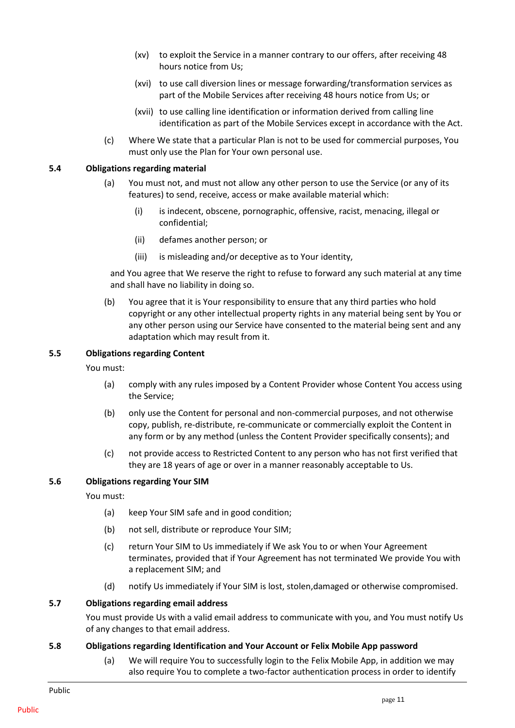- (xv) to exploit the Service in a manner contrary to our offers, after receiving 48 hours notice from Us;
- (xvi) to use call diversion lines or message forwarding/transformation services as part of the Mobile Services after receiving 48 hours notice from Us; or
- (xvii) to use calling line identification or information derived from calling line identification as part of the Mobile Services except in accordance with the Act.
- (c) Where We state that a particular Plan is not to be used for commercial purposes, You must only use the Plan for Your own personal use.

#### <span id="page-14-5"></span><span id="page-14-0"></span>**5.4 Obligations regarding material**

- (a) You must not, and must not allow any other person to use the Service (or any of its features) to send, receive, access or make available material which:
	- (i) is indecent, obscene, pornographic, offensive, racist, menacing, illegal or confidential;
	- (ii) defames another person; or
	- (iii) is misleading and/or deceptive as to Your identity,

and You agree that We reserve the right to refuse to forward any such material at any time and shall have no liability in doing so.

(b) You agree that it is Your responsibility to ensure that any third parties who hold copyright or any other intellectual property rights in any material being sent by You or any other person using our Service have consented to the material being sent and any adaptation which may result from it.

## <span id="page-14-1"></span>**5.5 Obligations regarding Content**

You must:

- (a) comply with any rules imposed by a Content Provider whose Content You access using the Service;
- (b) only use the Content for personal and non-commercial purposes, and not otherwise copy, publish, re-distribute, re-communicate or commercially exploit the Content in any form or by any method (unless the Content Provider specifically consents); and
- (c) not provide access to Restricted Content to any person who has not first verified that they are 18 years of age or over in a manner reasonably acceptable to Us.

# <span id="page-14-2"></span>**5.6 Obligations regarding Your SIM**

You must:

- (a) keep Your SIM safe and in good condition;
- (b) not sell, distribute or reproduce Your SIM;
- (c) return Your SIM to Us immediately if We ask You to or when Your Agreement terminates, provided that if Your Agreement has not terminated We provide You with a replacement SIM; and
- (d) notify Us immediately if Your SIM is lost, stolen,damaged or otherwise compromised.

#### <span id="page-14-3"></span>**5.7 Obligations regarding email address**

You must provide Us with a valid email address to communicate with you, and You must notify Us of any changes to that email address.

#### <span id="page-14-4"></span>**5.8 Obligations regarding Identification and Your Account or Felix Mobile App password**

(a) We will require You to successfully login to the Felix Mobile App, in addition we may also require You to complete a two-factor authentication process in order to identify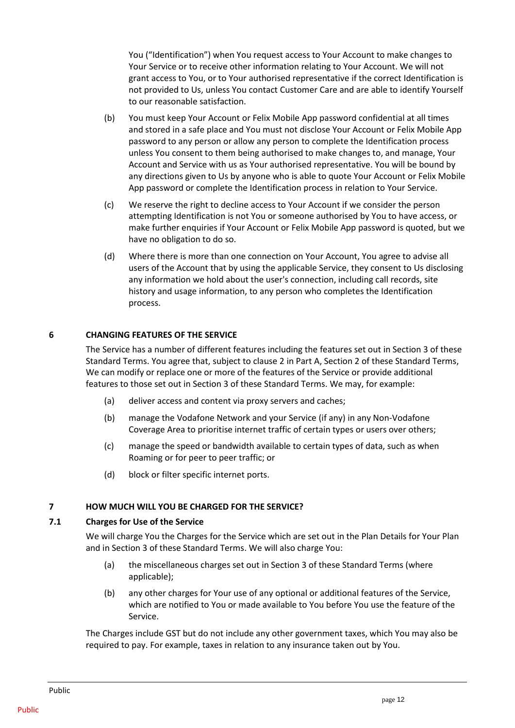You ("Identification") when You request access to Your Account to make changes to Your Service or to receive other information relating to Your Account. We will not grant access to You, or to Your authorised representative if the correct Identification is not provided to Us, unless You contact Customer Care and are able to identify Yourself to our reasonable satisfaction.

- (b) You must keep Your Account or Felix Mobile App password confidential at all times and stored in a safe place and You must not disclose Your Account or Felix Mobile App password to any person or allow any person to complete the Identification process unless You consent to them being authorised to make changes to, and manage, Your Account and Service with us as Your authorised representative. You will be bound by any directions given to Us by anyone who is able to quote Your Account or Felix Mobile App password or complete the Identification process in relation to Your Service.
- (c) We reserve the right to decline access to Your Account if we consider the person attempting Identification is not You or someone authorised by You to have access, or make further enquiries if Your Account or Felix Mobile App password is quoted, but we have no obligation to do so.
- (d) Where there is more than one connection on Your Account, You agree to advise all users of the Account that by using the applicable Service, they consent to Us disclosing any information we hold about the user's connection, including call records, site history and usage information, to any person who completes the Identification process.

# <span id="page-15-0"></span>**6 CHANGING FEATURES OF THE SERVICE**

The Service has a number of different features including the features set out in Section 3 of these Standard Terms. You agree that, subject to clause [2](#page-10-2) in Part A, Section 2 of these Standard Terms, We can modify or replace one or more of the features of the Service or provide additional features to those set out in Section 3 of these Standard Terms. We may, for example:

- (a) deliver access and content via proxy servers and caches;
- (b) manage the Vodafone Network and your Service (if any) in any Non-Vodafone Coverage Area to prioritise internet traffic of certain types or users over others;
- (c) manage the speed or bandwidth available to certain types of data, such as when Roaming or for peer to peer traffic; or
- (d) block or filter specific internet ports.

# <span id="page-15-1"></span>**7 HOW MUCH WILL YOU BE CHARGED FOR THE SERVICE?**

# <span id="page-15-2"></span>**7.1 Charges for Use of the Service**

We will charge You the Charges for the Service which are set out in the Plan Details for Your Plan and in Section 3 of these Standard Terms. We will also charge You:

- (a) the miscellaneous charges set out in Section 3 of these Standard Terms (where applicable);
- (b) any other charges for Your use of any optional or additional features of the Service, which are notified to You or made available to You before You use the feature of the Service.

The Charges include GST but do not include any other government taxes, which You may also be required to pay. For example, taxes in relation to any insurance taken out by You.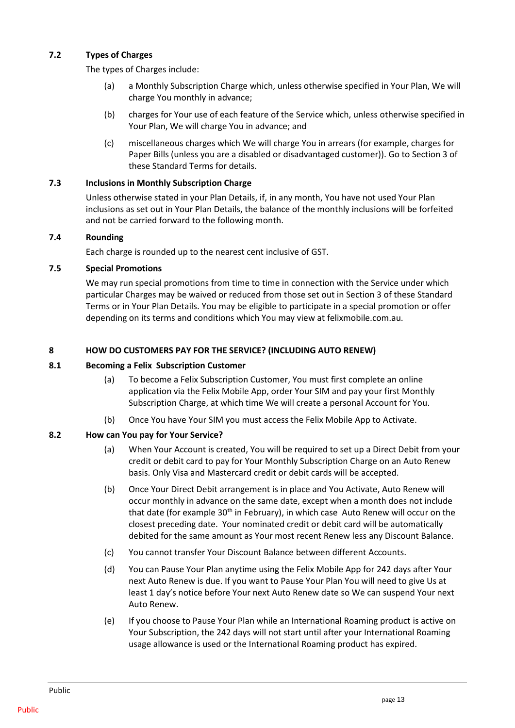# <span id="page-16-0"></span>**7.2 Types of Charges**

The types of Charges include:

- (a) a Monthly Subscription Charge which, unless otherwise specified in Your Plan, We will charge You monthly in advance;
- (b) charges for Your use of each feature of the Service which, unless otherwise specified in Your Plan, We will charge You in advance; and
- (c) miscellaneous charges which We will charge You in arrears (for example, charges for Paper Bills (unless you are a disabled or disadvantaged customer)). Go to Section 3 of these Standard Terms for details.

# <span id="page-16-1"></span>**7.3 Inclusions in Monthly Subscription Charge**

Unless otherwise stated in your Plan Details, if, in any month, You have not used Your Plan inclusions as set out in Your Plan Details, the balance of the monthly inclusions will be forfeited and not be carried forward to the following month.

# <span id="page-16-2"></span>**7.4 Rounding**

Each charge is rounded up to the nearest cent inclusive of GST.

# <span id="page-16-3"></span>**7.5 Special Promotions**

We may run special promotions from time to time in connection with the Service under which particular Charges may be waived or reduced from those set out in Section 3 of these Standard Terms or in Your Plan Details. You may be eligible to participate in a special promotion or offer depending on its terms and conditions which You may view at felixmobile.com.au.

## <span id="page-16-4"></span>**8 HOW DO CUSTOMERS PAY FOR THE SERVICE? (INCLUDING AUTO RENEW)**

## <span id="page-16-5"></span>**8.1 Becoming a Felix Subscription Customer**

- (a) To become a Felix Subscription Customer, You must first complete an online application via the Felix Mobile App, order Your SIM and pay your first Monthly Subscription Charge, at which time We will create a personal Account for You.
- (b) Once You have Your SIM you must access the Felix Mobile App to Activate.

# <span id="page-16-7"></span><span id="page-16-6"></span>**8.2 How can You pay for Your Service?**

- (a) When Your Account is created, You will be required to set up a Direct Debit from your credit or debit card to pay for Your Monthly Subscription Charge on an Auto Renew basis. Only Visa and Mastercard credit or debit cards will be accepted.
- (b) Once Your Direct Debit arrangement is in place and You Activate, Auto Renew will occur monthly in advance on the same date, except when a month does not include that date (for example 30<sup>th</sup> in February), in which case Auto Renew will occur on the closest preceding date. Your nominated credit or debit card will be automatically debited for the same amount as Your most recent Renew less any Discount Balance.
- (c) You cannot transfer Your Discount Balance between different Accounts.
- (d) You can Pause Your Plan anytime using the Felix Mobile App for 242 days after Your next Auto Renew is due. If you want to Pause Your Plan You will need to give Us at least 1 day's notice before Your next Auto Renew date so We can suspend Your next Auto Renew.
- (e) If you choose to Pause Your Plan while an International Roaming product is active on Your Subscription, the 242 days will not start until after your International Roaming usage allowance is used or the International Roaming product has expired.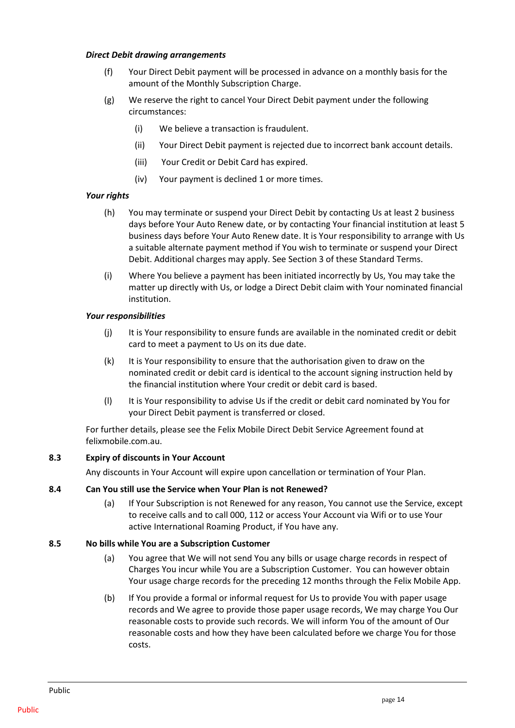#### *Direct Debit drawing arrangements*

- (f) Your Direct Debit payment will be processed in advance on a monthly basis for the amount of the Monthly Subscription Charge.
- (g) We reserve the right to cancel Your Direct Debit payment under the following circumstances:
	- (i) We believe a transaction is fraudulent.
	- (ii) Your Direct Debit payment is rejected due to incorrect bank account details.
	- (iii) Your Credit or Debit Card has expired.
	- (iv) Your payment is declined 1 or more times.

# *Your rights*

- (h) You may terminate or suspend your Direct Debit by contacting Us at least 2 business days before Your Auto Renew date, or by contacting Your financial institution at least 5 business days before Your Auto Renew date. It is Your responsibility to arrange with Us a suitable alternate payment method if You wish to terminate or suspend your Direct Debit. Additional charges may apply. See Section 3 of these Standard Terms.
- (i) Where You believe a payment has been initiated incorrectly by Us, You may take the matter up directly with Us, or lodge a Direct Debit claim with Your nominated financial institution.

# *Your responsibilities*

- (j) It is Your responsibility to ensure funds are available in the nominated credit or debit card to meet a payment to Us on its due date.
- (k) It is Your responsibility to ensure that the authorisation given to draw on the nominated credit or debit card is identical to the account signing instruction held by the financial institution where Your credit or debit card is based.
- (l) It is Your responsibility to advise Us if the credit or debit card nominated by You for your Direct Debit payment is transferred or closed.

For further details, please see the Felix Mobile Direct Debit Service Agreement found at felixmobile.com.au.

# <span id="page-17-0"></span>**8.3 Expiry of discounts in Your Account**

Any discounts in Your Account will expire upon cancellation or termination of Your Plan.

# <span id="page-17-1"></span>**8.4 Can You still use the Service when Your Plan is not Renewed?**

(a) If Your Subscription is not Renewed for any reason, You cannot use the Service, except to receive calls and to call 000, 112 or access Your Account via Wifi or to use Your active International Roaming Product, if You have any.

# <span id="page-17-2"></span>**8.5 No bills while You are a Subscription Customer**

- (a) You agree that We will not send You any bills or usage charge records in respect of Charges You incur while You are a Subscription Customer. You can however obtain Your usage charge records for the preceding 12 months through the Felix Mobile App.
- (b) If You provide a formal or informal request for Us to provide You with paper usage records and We agree to provide those paper usage records, We may charge You Our reasonable costs to provide such records. We will inform You of the amount of Our reasonable costs and how they have been calculated before we charge You for those costs.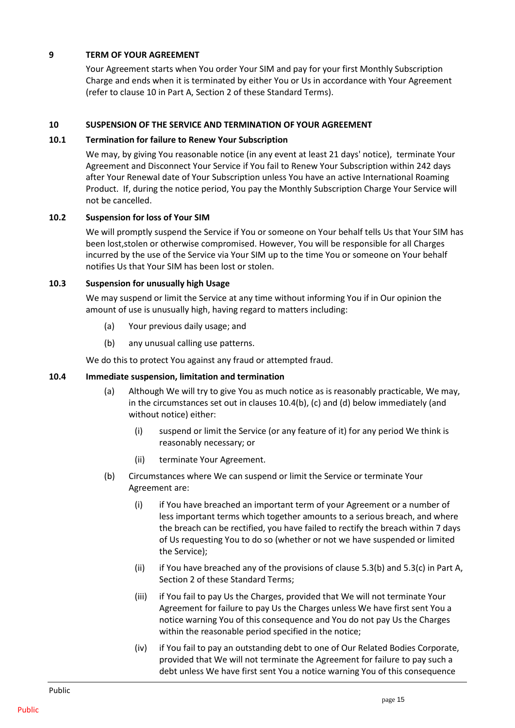# <span id="page-18-0"></span>**9 TERM OF YOUR AGREEMENT**

Your Agreement starts when You order Your SIM and pay for your first Monthly Subscription Charge and ends when it is terminated by either You or Us in accordance with Your Agreement (refer to clause 10 in Part A, Section 2 of these Standard Terms).

## <span id="page-18-1"></span>**10 SUSPENSION OF THE SERVICE AND TERMINATION OF YOUR AGREEMENT**

#### <span id="page-18-2"></span>**10.1 Termination for failure to Renew Your Subscription**

We may, by giving You reasonable notice (in any event at least 21 days' notice), terminate Your Agreement and Disconnect Your Service if You fail to Renew Your Subscription within 242 days after Your Renewal date of Your Subscription unless You have an active International Roaming Product. If, during the notice period, You pay the Monthly Subscription Charge Your Service will not be cancelled.

## <span id="page-18-3"></span>**10.2 Suspension for loss of Your SIM**

We will promptly suspend the Service if You or someone on Your behalf tells Us that Your SIM has been lost,stolen or otherwise compromised. However, You will be responsible for all Charges incurred by the use of the Service via Your SIM up to the time You or someone on Your behalf notifies Us that Your SIM has been lost or stolen.

## <span id="page-18-4"></span>**10.3 Suspension for unusually high Usage**

We may suspend or limit the Service at any time without informing You if in Our opinion the amount of use is unusually high, having regard to matters including:

- (a) Your previous daily usage; and
- (b) any unusual calling use patterns.

We do this to protect You against any fraud or attempted fraud.

# <span id="page-18-5"></span>**10.4 Immediate suspension, limitation and termination**

- (a) Although We will try to give You as much notice as is reasonably practicable, We may, in the circumstances set out in clause[s 10.4\(b\),](#page-18-6) [\(c\)](#page-19-0) and [\(d\)](#page-19-1) below immediately (and without notice) either:
	- (i) suspend or limit the Service (or any feature of it) for any period We think is reasonably necessary; or
	- (ii) terminate Your Agreement.
- <span id="page-18-6"></span>(b) Circumstances where We can suspend or limit the Service or terminate Your Agreement are:
	- (i) if You have breached an important term of your Agreement or a number of less important terms which together amounts to a serious breach, and where the breach can be rectified, you have failed to rectify the breach within 7 days of Us requesting You to do so (whether or not we have suspended or limited the Service);
	- (ii) if You have breached any of the provisions of clause [5.3\(b\)](#page-13-1) an[d 5.3\(c\)](#page-14-5) in Part A, Section 2 of these Standard Terms;
	- (iii) if You fail to pay Us the Charges, provided that We will not terminate Your Agreement for failure to pay Us the Charges unless We have first sent You a notice warning You of this consequence and You do not pay Us the Charges within the reasonable period specified in the notice;
	- (iv) if You fail to pay an outstanding debt to one of Our Related Bodies Corporate, provided that We will not terminate the Agreement for failure to pay such a debt unless We have first sent You a notice warning You of this consequence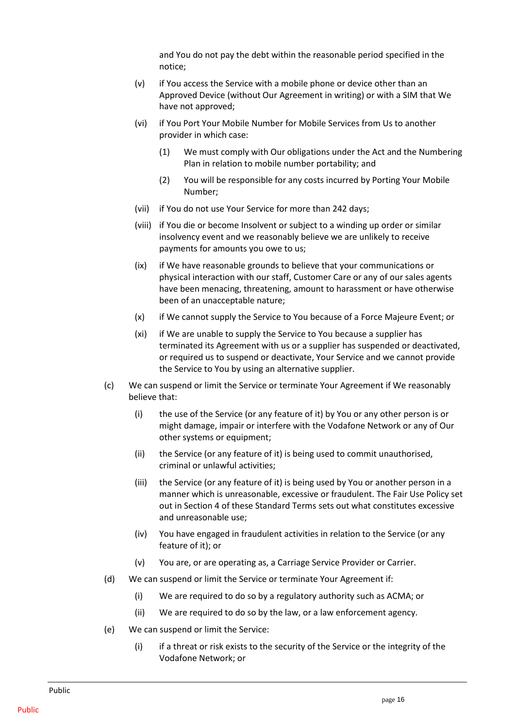and You do not pay the debt within the reasonable period specified in the notice;

- (v) if You access the Service with a mobile phone or device other than an Approved Device (without Our Agreement in writing) or with a SIM that We have not approved;
- (vi) if You Port Your Mobile Number for Mobile Services from Us to another provider in which case:
	- (1) We must comply with Our obligations under the Act and the Numbering Plan in relation to mobile number portability; and
	- (2) You will be responsible for any costs incurred by Porting Your Mobile Number;
- (vii) if You do not use Your Service for more than 242 days;
- (viii) if You die or become Insolvent or subject to a winding up order or similar insolvency event and we reasonably believe we are unlikely to receive payments for amounts you owe to us;
- (ix) if We have reasonable grounds to believe that your communications or physical interaction with our staff, Customer Care or any of our sales agents have been menacing, threatening, amount to harassment or have otherwise been of an unacceptable nature;
- (x) if We cannot supply the Service to You because of a Force Majeure Event; or
- (xi) if We are unable to supply the Service to You because a supplier has terminated its Agreement with us or a supplier has suspended or deactivated, or required us to suspend or deactivate, Your Service and we cannot provide the Service to You by using an alternative supplier.
- <span id="page-19-0"></span>(c) We can suspend or limit the Service or terminate Your Agreement if We reasonably believe that:
	- (i) the use of the Service (or any feature of it) by You or any other person is or might damage, impair or interfere with the Vodafone Network or any of Our other systems or equipment;
	- (ii) the Service (or any feature of it) is being used to commit unauthorised, criminal or unlawful activities;
	- (iii) the Service (or any feature of it) is being used by You or another person in a manner which is unreasonable, excessive or fraudulent. The Fair Use Policy set out in Section 4 of these Standard Terms sets out what constitutes excessive and unreasonable use;
	- (iv) You have engaged in fraudulent activities in relation to the Service (or any feature of it); or
	- (v) You are, or are operating as, a Carriage Service Provider or Carrier.
- <span id="page-19-1"></span>(d) We can suspend or limit the Service or terminate Your Agreement if:
	- (i) We are required to do so by a regulatory authority such as ACMA; or
	- (ii) We are required to do so by the law, or a law enforcement agency.
- (e) We can suspend or limit the Service:
	- (i) if a threat or risk exists to the security of the Service or the integrity of the Vodafone Network; or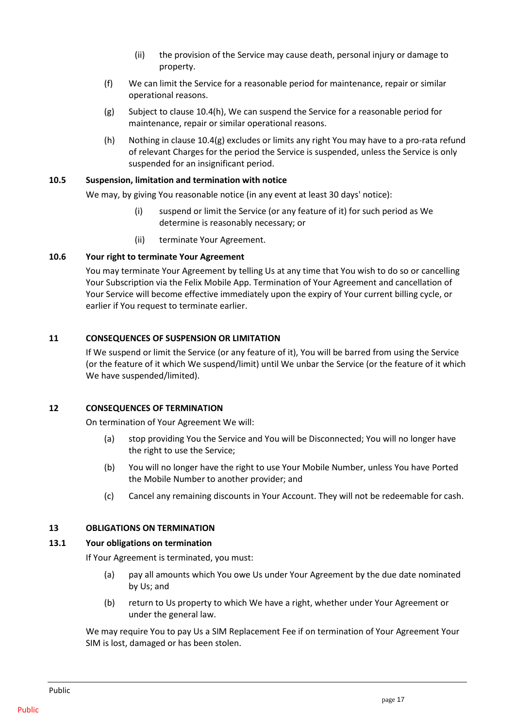- (ii) the provision of the Service may cause death, personal injury or damage to property.
- (f) We can limit the Service for a reasonable period for maintenance, repair or similar operational reasons.
- <span id="page-20-7"></span>(g) Subject to clause [10.4\(h\),](#page-20-6) We can suspend the Service for a reasonable period for maintenance, repair or similar operational reasons.
- (h) Nothing in claus[e 10.4\(g\)](#page-20-7) excludes or limits any right You may have to a pro-rata refund of relevant Charges for the period the Service is suspended, unless the Service is only suspended for an insignificant period.

#### <span id="page-20-6"></span><span id="page-20-0"></span>**10.5 Suspension, limitation and termination with notice**

We may, by giving You reasonable notice (in any event at least 30 days' notice):

- (i) suspend or limit the Service (or any feature of it) for such period as We determine is reasonably necessary; or
- (ii) terminate Your Agreement.

#### <span id="page-20-1"></span>**10.6 Your right to terminate Your Agreement**

You may terminate Your Agreement by telling Us at any time that You wish to do so or cancelling Your Subscription via the Felix Mobile App. Termination of Your Agreement and cancellation of Your Service will become effective immediately upon the expiry of Your current billing cycle, or earlier if You request to terminate earlier.

#### <span id="page-20-2"></span>**11 CONSEQUENCES OF SUSPENSION OR LIMITATION**

If We suspend or limit the Service (or any feature of it), You will be barred from using the Service (or the feature of it which We suspend/limit) until We unbar the Service (or the feature of it which We have suspended/limited).

#### <span id="page-20-3"></span>**12 CONSEQUENCES OF TERMINATION**

On termination of Your Agreement We will:

- (a) stop providing You the Service and You will be Disconnected; You will no longer have the right to use the Service;
- (b) You will no longer have the right to use Your Mobile Number, unless You have Ported the Mobile Number to another provider; and
- (c) Cancel any remaining discounts in Your Account. They will not be redeemable for cash.

#### <span id="page-20-4"></span>**13 OBLIGATIONS ON TERMINATION**

#### <span id="page-20-5"></span>**13.1 Your obligations on termination**

If Your Agreement is terminated, you must:

- (a) pay all amounts which You owe Us under Your Agreement by the due date nominated by Us; and
- (b) return to Us property to which We have a right, whether under Your Agreement or under the general law.

We may require You to pay Us a SIM Replacement Fee if on termination of Your Agreement Your SIM is lost, damaged or has been stolen.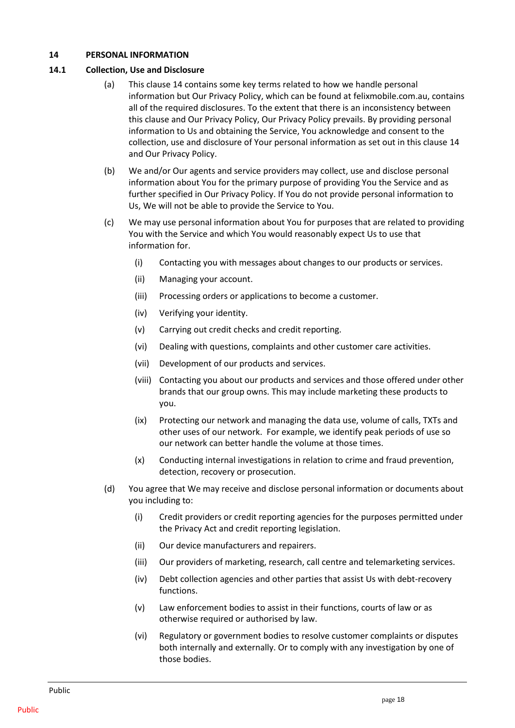## <span id="page-21-0"></span>**14 PERSONAL INFORMATION**

#### <span id="page-21-1"></span>**14.1 Collection, Use and Disclosure**

- (a) This clause 14 contains some key terms related to how we handle personal information but Our Privacy Policy, which can be found at felixmobile.com.au, contains all of the required disclosures. To the extent that there is an inconsistency between this clause and Our Privacy Policy, Our Privacy Policy prevails. By providing personal information to Us and obtaining the Service, You acknowledge and consent to the collection, use and disclosure of Your personal information as set out in this clause 14 and Our Privacy Policy.
- (b) We and/or Our agents and service providers may collect, use and disclose personal information about You for the primary purpose of providing You the Service and as further specified in Our Privacy Policy. If You do not provide personal information to Us, We will not be able to provide the Service to You.
- (c) We may use personal information about You for purposes that are related to providing You with the Service and which You would reasonably expect Us to use that information for.
	- (i) Contacting you with messages about changes to our products or services.
	- (ii) Managing your account.
	- (iii) Processing orders or applications to become a customer.
	- (iv) Verifying your identity.
	- (v) Carrying out credit checks and credit reporting.
	- (vi) Dealing with questions, complaints and other customer care activities.
	- (vii) Development of our products and services.
	- (viii) Contacting you about our products and services and those offered under other brands that our group owns. This may include marketing these products to you.
	- (ix) Protecting our network and managing the data use, volume of calls, TXTs and other uses of our network. For example, we identify peak periods of use so our network can better handle the volume at those times.
	- (x) Conducting internal investigations in relation to crime and fraud prevention, detection, recovery or prosecution.
- (d) You agree that We may receive and disclose personal information or documents about you including to:
	- (i) Credit providers or credit reporting agencies for the purposes permitted under the Privacy Act and credit reporting legislation.
	- (ii) Our device manufacturers and repairers.
	- (iii) Our providers of marketing, research, call centre and telemarketing services.
	- (iv) Debt collection agencies and other parties that assist Us with debt-recovery functions.
	- (v) Law enforcement bodies to assist in their functions, courts of law or as otherwise required or authorised by law.
	- (vi) Regulatory or government bodies to resolve customer complaints or disputes both internally and externally. Or to comply with any investigation by one of those bodies.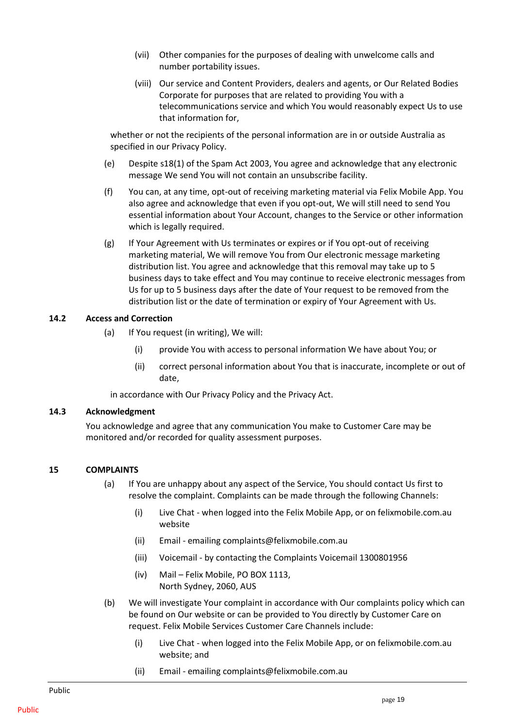- (vii) Other companies for the purposes of dealing with unwelcome calls and number portability issues.
- (viii) Our service and Content Providers, dealers and agents, or Our Related Bodies Corporate for purposes that are related to providing You with a telecommunications service and which You would reasonably expect Us to use that information for,

whether or not the recipients of the personal information are in or outside Australia as specified in our Privacy Policy.

- (e) Despite s18(1) of the Spam Act 2003, You agree and acknowledge that any electronic message We send You will not contain an unsubscribe facility.
- (f) You can, at any time, opt-out of receiving marketing material via Felix Mobile App. You also agree and acknowledge that even if you opt-out, We will still need to send You essential information about Your Account, changes to the Service or other information which is legally required.
- (g) If Your Agreement with Us terminates or expires or if You opt-out of receiving marketing material, We will remove You from Our electronic message marketing distribution list. You agree and acknowledge that this removal may take up to 5 business days to take effect and You may continue to receive electronic messages from Us for up to 5 business days after the date of Your request to be removed from the distribution list or the date of termination or expiry of Your Agreement with Us.

#### <span id="page-22-0"></span>**14.2 Access and Correction**

- (a) If You request (in writing), We will:
	- (i) provide You with access to personal information We have about You; or
	- (ii) correct personal information about You that is inaccurate, incomplete or out of date,

in accordance with Our Privacy Policy and the Privacy Act.

#### <span id="page-22-1"></span>**14.3 Acknowledgment**

You acknowledge and agree that any communication You make to Customer Care may be monitored and/or recorded for quality assessment purposes.

#### <span id="page-22-2"></span>**15 COMPLAINTS**

- (a) If You are unhappy about any aspect of the Service, You should contact Us first to resolve the complaint. Complaints can be made through the following Channels:
	- (i) Live Chat when logged into the Felix Mobile App, or on felixmobile.com.au website
	- (ii) Email emailin[g complaints@felixmobile.com.au](mailto:complaints@felixmobile.com.au)
	- (iii) Voicemail by contacting the Complaints Voicemail 1300801956
	- (iv) Mail Felix Mobile, PO BOX 1113, North Sydney, 2060, AUS
- (b) We will investigate Your complaint in accordance with Our complaints policy which can be found on Our website or can be provided to You directly by Customer Care on request. Felix Mobile Services Customer Care Channels include:
	- (i) Live Chat when logged into the Felix Mobile App, or on felixmobile.com.au website; and
	- (ii) Email emailin[g complaints@felixmobile.com.au](mailto:complaints@felixmobile.com.au)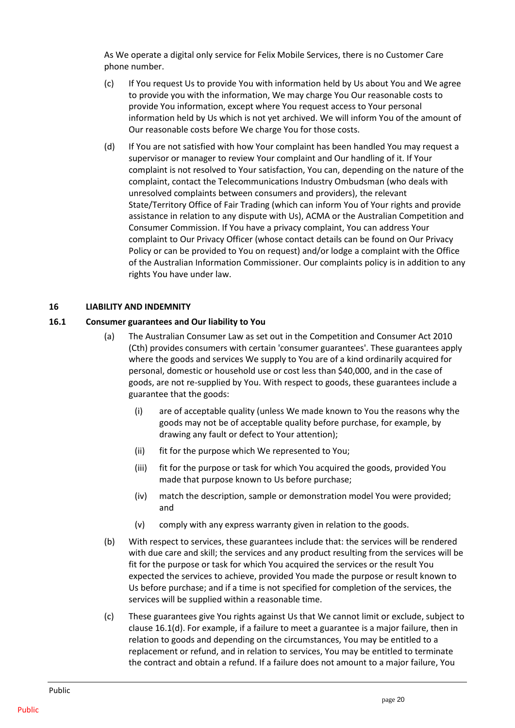As We operate a digital only service for Felix Mobile Services, there is no Customer Care phone number.

- (c) If You request Us to provide You with information held by Us about You and We agree to provide you with the information, We may charge You Our reasonable costs to provide You information, except where You request access to Your personal information held by Us which is not yet archived. We will inform You of the amount of Our reasonable costs before We charge You for those costs.
- (d) If You are not satisfied with how Your complaint has been handled You may request a supervisor or manager to review Your complaint and Our handling of it. If Your complaint is not resolved to Your satisfaction, You can, depending on the nature of the complaint, contact the Telecommunications Industry Ombudsman (who deals with unresolved complaints between consumers and providers), the relevant State/Territory Office of Fair Trading (which can inform You of Your rights and provide assistance in relation to any dispute with Us), ACMA or the Australian Competition and Consumer Commission. If You have a privacy complaint, You can address Your complaint to Our Privacy Officer (whose contact details can be found on Our Privacy Policy or can be provided to You on request) and/or lodge a complaint with the Office of the Australian Information Commissioner. Our complaints policy is in addition to any rights You have under law.

## <span id="page-23-0"></span>**16 LIABILITY AND INDEMNITY**

## <span id="page-23-1"></span>**16.1 Consumer guarantees and Our liability to You**

- (a) The Australian Consumer Law as set out in the Competition and Consumer Act 2010 (Cth) provides consumers with certain 'consumer guarantees'. These guarantees apply where the goods and services We supply to You are of a kind ordinarily acquired for personal, domestic or household use or cost less than \$40,000, and in the case of goods, are not re-supplied by You. With respect to goods, these guarantees include a guarantee that the goods:
	- (i) are of acceptable quality (unless We made known to You the reasons why the goods may not be of acceptable quality before purchase, for example, by drawing any fault or defect to Your attention);
	- (ii) fit for the purpose which We represented to You;
	- (iii) fit for the purpose or task for which You acquired the goods, provided You made that purpose known to Us before purchase;
	- (iv) match the description, sample or demonstration model You were provided; and
	- (v) comply with any express warranty given in relation to the goods.
- (b) With respect to services, these guarantees include that: the services will be rendered with due care and skill; the services and any product resulting from the services will be fit for the purpose or task for which You acquired the services or the result You expected the services to achieve, provided You made the purpose or result known to Us before purchase; and if a time is not specified for completion of the services, the services will be supplied within a reasonable time.
- <span id="page-23-2"></span>(c) These guarantees give You rights against Us that We cannot limit or exclude, subject to clause [16.1\(d\).](#page-24-1) For example, if a failure to meet a guarantee is a major failure, then in relation to goods and depending on the circumstances, You may be entitled to a replacement or refund, and in relation to services, You may be entitled to terminate the contract and obtain a refund. If a failure does not amount to a major failure, You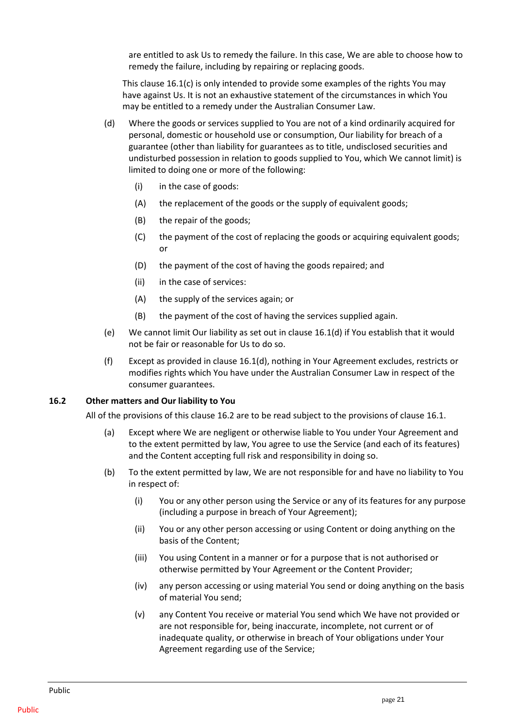are entitled to ask Us to remedy the failure. In this case, We are able to choose how to remedy the failure, including by repairing or replacing goods.

This claus[e 16.1\(c\)](#page-23-2) is only intended to provide some examples of the rights You may have against Us. It is not an exhaustive statement of the circumstances in which You may be entitled to a remedy under the Australian Consumer Law.

- <span id="page-24-1"></span>(d) Where the goods or services supplied to You are not of a kind ordinarily acquired for personal, domestic or household use or consumption, Our liability for breach of a guarantee (other than liability for guarantees as to title, undisclosed securities and undisturbed possession in relation to goods supplied to You, which We cannot limit) is limited to doing one or more of the following:
	- (i) in the case of goods:
	- (A) the replacement of the goods or the supply of equivalent goods;
	- (B) the repair of the goods;
	- (C) the payment of the cost of replacing the goods or acquiring equivalent goods; or
	- (D) the payment of the cost of having the goods repaired; and
	- (ii) in the case of services:
	- (A) the supply of the services again; or
	- (B) the payment of the cost of having the services supplied again.
- (e) We cannot limit Our liability as set out in clause [16.1\(d\)](#page-24-1) if You establish that it would not be fair or reasonable for Us to do so.
- (f) Except as provided in clause [16.1\(d\),](#page-24-1) nothing in Your Agreement excludes, restricts or modifies rights which You have under the Australian Consumer Law in respect of the consumer guarantees.

#### <span id="page-24-0"></span>**16.2 Other matters and Our liability to You**

All of the provisions of this clause [16.2](#page-24-0) are to be read subject to the provisions of clause [16.1.](#page-23-1)

- (a) Except where We are negligent or otherwise liable to You under Your Agreement and to the extent permitted by law, You agree to use the Service (and each of its features) and the Content accepting full risk and responsibility in doing so.
- (b) To the extent permitted by law, We are not responsible for and have no liability to You in respect of:
	- (i) You or any other person using the Service or any of its features for any purpose (including a purpose in breach of Your Agreement);
	- (ii) You or any other person accessing or using Content or doing anything on the basis of the Content;
	- (iii) You using Content in a manner or for a purpose that is not authorised or otherwise permitted by Your Agreement or the Content Provider;
	- (iv) any person accessing or using material You send or doing anything on the basis of material You send;
	- (v) any Content You receive or material You send which We have not provided or are not responsible for, being inaccurate, incomplete, not current or of inadequate quality, or otherwise in breach of Your obligations under Your Agreement regarding use of the Service;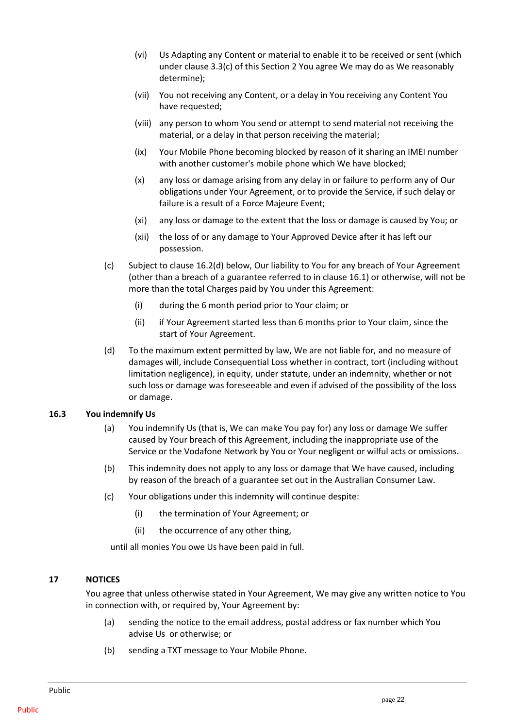- (vi) Us Adapting any Content or material to enable it to be received or sent (which under clause 3.3(c) of this Sectio[n 2](#page-10-2) You agree We may do as We reasonably determine);
- (vii) You not receiving any Content, or a delay in You receiving any Content You have requested;
- (viii) any person to whom You send or attempt to send material not receiving the material, or a delay in that person receiving the material;
- (ix) Your Mobile Phone becoming blocked by reason of it sharing an IMEI number with another customer's mobile phone which We have blocked;
- (x) any loss or damage arising from any delay in or failure to perform any of Our obligations under Your Agreement, or to provide the Service, if such delay or failure is a result of a Force Majeure Event;
- (xi) any loss or damage to the extent that the loss or damage is caused by You; or
- (xii) the loss of or any damage to Your Approved Device after it has left our possession.
- (c) Subject to clause [16.2\(d\)](#page-25-2) below, Our liability to You for any breach of Your Agreement (other than a breach of a guarantee referred to in clause [16.1\)](#page-23-1) or otherwise, will not be more than the total Charges paid by You under this Agreement:
	- (i) during the 6 month period prior to Your claim; or
	- (ii) if Your Agreement started less than 6 months prior to Your claim, since the start of Your Agreement.
- <span id="page-25-2"></span>(d) To the maximum extent permitted by law, We are not liable for, and no measure of damages will, include Consequential Loss whether in contract, tort (including without limitation negligence), in equity, under statute, under an indemnity, whether or not such loss or damage was foreseeable and even if advised of the possibility of the loss or damage.

#### <span id="page-25-0"></span>**16.3 You indemnify Us**

- (a) You indemnify Us (that is, We can make You pay for) any loss or damage We suffer caused by Your breach of this Agreement, including the inappropriate use of the Service or the Vodafone Network by You or Your negligent or wilful acts or omissions.
- (b) This indemnity does not apply to any loss or damage that We have caused, including by reason of the breach of a guarantee set out in the Australian Consumer Law.
- (c) Your obligations under this indemnity will continue despite:
	- (i) the termination of Your Agreement; or
	- (ii) the occurrence of any other thing,

until all monies You owe Us have been paid in full.

#### <span id="page-25-1"></span>**17 NOTICES**

You agree that unless otherwise stated in Your Agreement, We may give any written notice to You in connection with, or required by, Your Agreement by:

- (a) sending the notice to the email address, postal address or fax number which You advise Us or otherwise; or
- (b) sending a TXT message to Your Mobile Phone.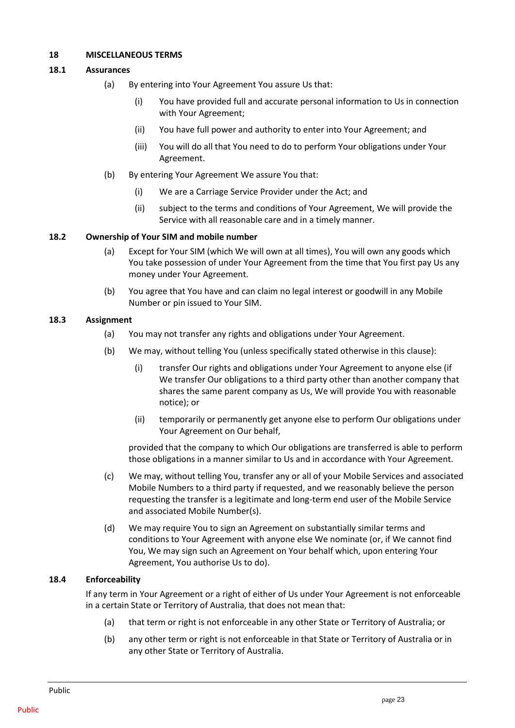## <span id="page-26-0"></span>**18 MISCELLANEOUS TERMS**

## <span id="page-26-1"></span>**18.1 Assurances**

- (a) By entering into Your Agreement You assure Us that:
	- (i) You have provided full and accurate personal information to Us in connection with Your Agreement;
	- (ii) You have full power and authority to enter into Your Agreement; and
	- (iii) You will do all that You need to do to perform Your obligations under Your Agreement.
- (b) By entering Your Agreement We assure You that:
	- (i) We are a Carriage Service Provider under the Act; and
	- (ii) subject to the terms and conditions of Your Agreement, We will provide the Service with all reasonable care and in a timely manner.

## <span id="page-26-2"></span>**18.2 Ownership of Your SIM and mobile number**

- (a) Except for Your SIM (which We will own at all times), You will own any goods which You take possession of under Your Agreement from the time that You first pay Us any money under Your Agreement.
- (b) You agree that You have and can claim no legal interest or goodwill in any Mobile Number or pin issued to Your SIM.

## <span id="page-26-3"></span>**18.3 Assignment**

- (a) You may not transfer any rights and obligations under Your Agreement.
- (b) We may, without telling You (unless specifically stated otherwise in this clause):
	- (i) transfer Our rights and obligations under Your Agreement to anyone else (if We transfer Our obligations to a third party other than another company that shares the same parent company as Us, We will provide You with reasonable notice); or
	- (ii) temporarily or permanently get anyone else to perform Our obligations under Your Agreement on Our behalf,

provided that the company to which Our obligations are transferred is able to perform those obligations in a manner similar to Us and in accordance with Your Agreement.

- (c) We may, without telling You, transfer any or all of your Mobile Services and associated Mobile Numbers to a third party if requested, and we reasonably believe the person requesting the transfer is a legitimate and long-term end user of the Mobile Service and associated Mobile Number(s).
- (d) We may require You to sign an Agreement on substantially similar terms and conditions to Your Agreement with anyone else We nominate (or, if We cannot find You, We may sign such an Agreement on Your behalf which, upon entering Your Agreement, You authorise Us to do).

# <span id="page-26-4"></span>**18.4 Enforceability**

If any term in Your Agreement or a right of either of Us under Your Agreement is not enforceable in a certain State or Territory of Australia, that does not mean that:

- (a) that term or right is not enforceable in any other State or Territory of Australia; or
- (b) any other term or right is not enforceable in that State or Territory of Australia or in any other State or Territory of Australia.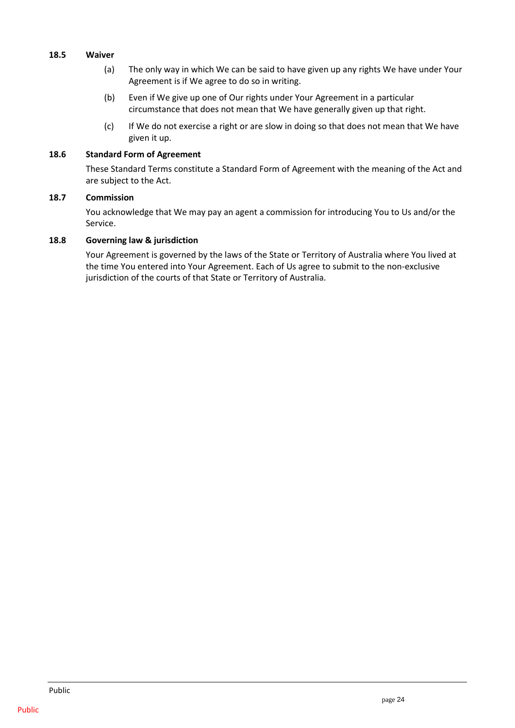## <span id="page-27-0"></span>**18.5 Waiver**

- (a) The only way in which We can be said to have given up any rights We have under Your Agreement is if We agree to do so in writing.
- (b) Even if We give up one of Our rights under Your Agreement in a particular circumstance that does not mean that We have generally given up that right.
- (c) If We do not exercise a right or are slow in doing so that does not mean that We have given it up.

#### <span id="page-27-1"></span>**18.6 Standard Form of Agreement**

These Standard Terms constitute a Standard Form of Agreement with the meaning of the Act and are subject to the Act.

## <span id="page-27-2"></span>**18.7 Commission**

You acknowledge that We may pay an agent a commission for introducing You to Us and/or the Service.

## <span id="page-27-3"></span>**18.8 Governing law & jurisdiction**

Your Agreement is governed by the laws of the State or Territory of Australia where You lived at the time You entered into Your Agreement. Each of Us agree to submit to the non-exclusive jurisdiction of the courts of that State or Territory of Australia.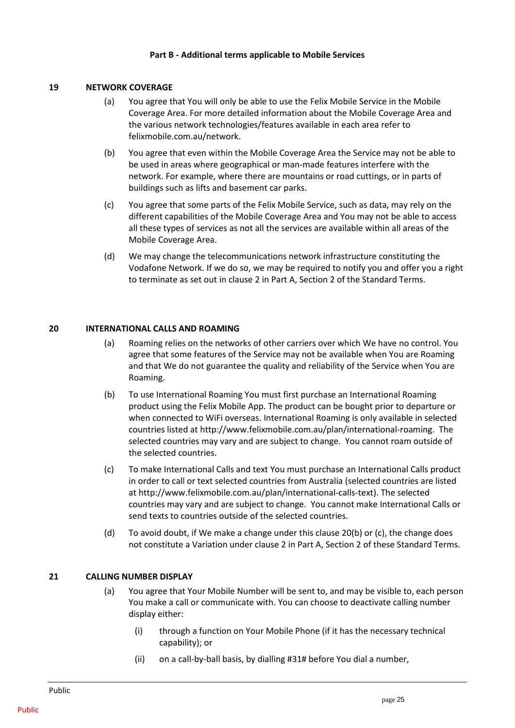#### **Part B - Additional terms applicable to Mobile Services**

## <span id="page-28-0"></span>**19 NETWORK COVERAGE**

- (a) You agree that You will only be able to use the Felix Mobile Service in the Mobile Coverage Area. For more detailed information about the Mobile Coverage Area and the various network technologies/features available in each area refer to felixmobile.com.au/network.
- (b) You agree that even within the Mobile Coverage Area the Service may not be able to be used in areas where geographical or man-made features interfere with the network. For example, where there are mountains or road cuttings, or in parts of buildings such as lifts and basement car parks.
- (c) You agree that some parts of the Felix Mobile Service, such as data, may rely on the different capabilities of the Mobile Coverage Area and You may not be able to access all these types of services as not all the services are available within all areas of the Mobile Coverage Area.
- (d) We may change the telecommunications network infrastructure constituting the Vodafone Network. If we do so, we may be required to notify you and offer you a right to terminate as set out in clause 2 in Part A, Section 2 of the Standard Terms.

## <span id="page-28-1"></span>**20 INTERNATIONAL CALLS AND ROAMING**

- (a) Roaming relies on the networks of other carriers over which We have no control. You agree that some features of the Service may not be available when You are Roaming and that We do not guarantee the quality and reliability of the Service when You are Roaming.
- (b) To use International Roaming You must first purchase an International Roaming product using the Felix Mobile App. The product can be bought prior to departure or when connected to WiFi overseas. International Roaming is only available in selected countries listed at http:/[/www.felixmobile.com.au/plan/international-roaming.](http://www.felixmobile.com.au/plan/international-roaming) The selected countries may vary and are subject to change. You cannot roam outside of the selected countries.
- (c) To make International Calls and text You must purchase an International Calls product in order to call or text selected countries from Australia (selected countries are listed at http://www.felixmobile.com.au/plan/international-calls-text). The selected countries may vary and are subject to change. You cannot make International Calls or send texts to countries outside of the selected countries.
- (d) To avoid doubt, if We make a change under this clause 20(b) or (c), the change does not constitute a Variation under clause 2 in Part A, Section 2 of these Standard Terms.

# <span id="page-28-2"></span>**21 CALLING NUMBER DISPLAY**

- (a) You agree that Your Mobile Number will be sent to, and may be visible to, each person You make a call or communicate with. You can choose to deactivate calling number display either:
	- (i) through a function on Your Mobile Phone (if it has the necessary technical capability); or
	- (ii) on a call-by-ball basis, by dialling #31# before You dial a number,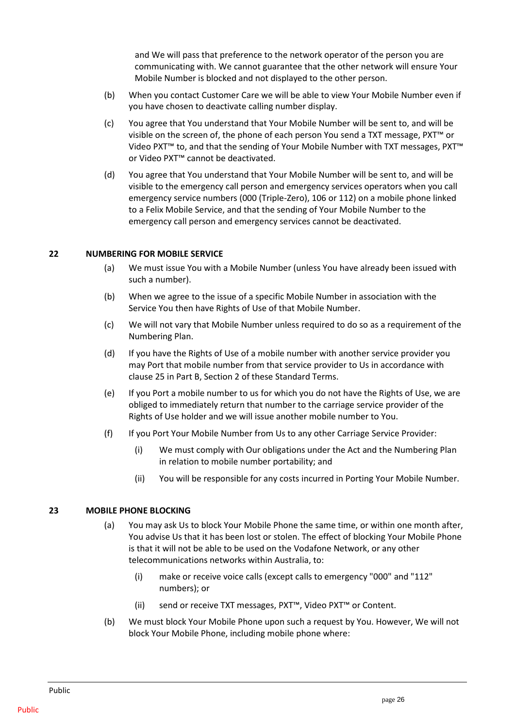and We will pass that preference to the network operator of the person you are communicating with. We cannot guarantee that the other network will ensure Your Mobile Number is blocked and not displayed to the other person.

- (b) When you contact Customer Care we will be able to view Your Mobile Number even if you have chosen to deactivate calling number display.
- (c) You agree that You understand that Your Mobile Number will be sent to, and will be visible on the screen of, the phone of each person You send a TXT message, PXT™ or Video PXT™ to, and that the sending of Your Mobile Number with TXT messages, PXT™ or Video PXT™ cannot be deactivated.
- (d) You agree that You understand that Your Mobile Number will be sent to, and will be visible to the emergency call person and emergency services operators when you call emergency service numbers (000 (Triple-Zero), 106 or 112) on a mobile phone linked to a Felix Mobile Service, and that the sending of Your Mobile Number to the emergency call person and emergency services cannot be deactivated.

## <span id="page-29-0"></span>**22 NUMBERING FOR MOBILE SERVICE**

- (a) We must issue You with a Mobile Number (unless You have already been issued with such a number).
- (b) When we agree to the issue of a specific Mobile Number in association with the Service You then have Rights of Use of that Mobile Number.
- (c) We will not vary that Mobile Number unless required to do so as a requirement of the Numbering Plan.
- (d) If you have the Rights of Use of a mobile number with another service provider you may Port that mobile number from that service provider to Us in accordance with clause [25](#page-30-1) in Part B, Section 2 of these Standard Terms.
- (e) If you Port a mobile number to us for which you do not have the Rights of Use, we are obliged to immediately return that number to the carriage service provider of the Rights of Use holder and we will issue another mobile number to You.
- (f) If you Port Your Mobile Number from Us to any other Carriage Service Provider:
	- (i) We must comply with Our obligations under the Act and the Numbering Plan in relation to mobile number portability; and
	- (ii) You will be responsible for any costs incurred in Porting Your Mobile Number.

# <span id="page-29-1"></span>**23 MOBILE PHONE BLOCKING**

- (a) You may ask Us to block Your Mobile Phone the same time, or within one month after, You advise Us that it has been lost or stolen. The effect of blocking Your Mobile Phone is that it will not be able to be used on the Vodafone Network, or any other telecommunications networks within Australia, to:
	- (i) make or receive voice calls (except calls to emergency "000" and "112" numbers); or
	- (ii) send or receive TXT messages, PXT™, Video PXT™ or Content.
- (b) We must block Your Mobile Phone upon such a request by You. However, We will not block Your Mobile Phone, including mobile phone where: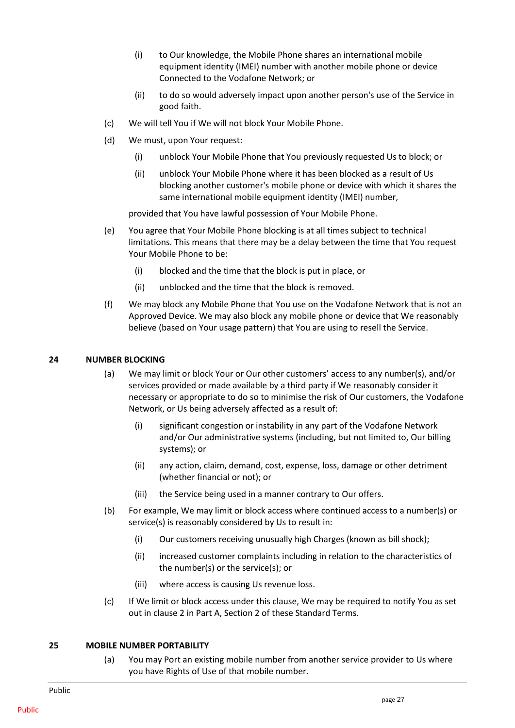- (i) to Our knowledge, the Mobile Phone shares an international mobile equipment identity (IMEI) number with another mobile phone or device Connected to the Vodafone Network; or
- (ii) to do so would adversely impact upon another person's use of the Service in good faith.
- (c) We will tell You if We will not block Your Mobile Phone.
- (d) We must, upon Your request:
	- (i) unblock Your Mobile Phone that You previously requested Us to block; or
	- (ii) unblock Your Mobile Phone where it has been blocked as a result of Us blocking another customer's mobile phone or device with which it shares the same international mobile equipment identity (IMEI) number,

provided that You have lawful possession of Your Mobile Phone.

- (e) You agree that Your Mobile Phone blocking is at all times subject to technical limitations. This means that there may be a delay between the time that You request Your Mobile Phone to be:
	- (i) blocked and the time that the block is put in place, or
	- (ii) unblocked and the time that the block is removed.
- (f) We may block any Mobile Phone that You use on the Vodafone Network that is not an Approved Device. We may also block any mobile phone or device that We reasonably believe (based on Your usage pattern) that You are using to resell the Service.

#### <span id="page-30-0"></span>**24 NUMBER BLOCKING**

- (a) We may limit or block Your or Our other customers' access to any number(s), and/or services provided or made available by a third party if We reasonably consider it necessary or appropriate to do so to minimise the risk of Our customers, the Vodafone Network, or Us being adversely affected as a result of:
	- (i) significant congestion or instability in any part of the Vodafone Network and/or Our administrative systems (including, but not limited to, Our billing systems); or
	- (ii) any action, claim, demand, cost, expense, loss, damage or other detriment (whether financial or not); or
	- (iii) the Service being used in a manner contrary to Our offers.
- (b) For example, We may limit or block access where continued access to a number(s) or service(s) is reasonably considered by Us to result in:
	- (i) Our customers receiving unusually high Charges (known as bill shock);
	- (ii) increased customer complaints including in relation to the characteristics of the number(s) or the service(s); or
	- (iii) where access is causing Us revenue loss.
- (c) If We limit or block access under this clause, We may be required to notify You as set out in clause 2 in Part A, Section 2 of these Standard Terms.

#### <span id="page-30-1"></span>**25 MOBILE NUMBER PORTABILITY**

(a) You may Port an existing mobile number from another service provider to Us where you have Rights of Use of that mobile number.